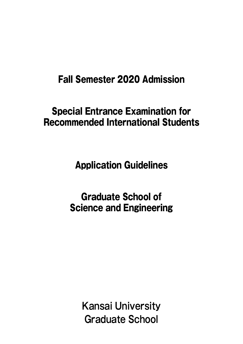# Fall Semester 2020 Admission

# Special Entrance Examination for Recommended International Students

Application Guidelines

Graduate School of Science and Engineering

> **Kansai University Graduate School**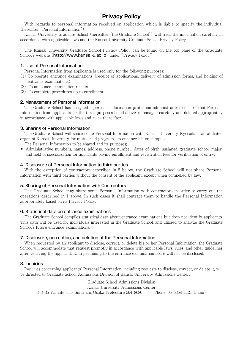## **Privacy Policy**

With regards to personal information received on application which is liable to specify the individual (hereafter "Personal Information"),

Kansai University Graduate School (hereafter "the Graduate School") will treat the information carefully in accordance with applicable laws and the Kansai University Graduate School Privacy Policy.

The Kansai University Graduate School Privacy Policy can be found on the top page of the Graduate School's website (http://www.kansai-u.ac.jp) under "Privacy Policy."

#### 1. Use of Personal Information

Personal Information from applicants is used only for the following purposes:

- (1) To operate entrance examinations (receipt of applications, delivery of admission forms, and holding of entrance examinations)
- (2) To announce examination results
- (3) To complete procedures up to enrollment

#### 2. Management of Personal Information

The Graduate School has assigned a personal information protection administrator to ensure that Personal Information from applicants for the three purposes listed above is managed carefully and deleted appropriately in accordance with applicable laws and rules thereafter.

#### 3. Sharing of Personal Information

The Graduate School will share some Personal Information with Kansai University Kyosaikai (an affiliated organ of Kansai University for mutual-aid program) to enhance life on campus.

The Personal Information to be shared and its purposes;

\* Administrative numbers, names, address, phone number, dates of birth, assigned graduate school, major, and field of specialization for applicants paying enrollment and registration fees for verification of entry.

#### 4. Disclosure of Personal Information to third parties

With the exception of contractors described in 5 below, the Graduate School will not share Personal Information with third parties without the consent of the applicant, except when compelled by law.

#### 5. Sharing of Personal Information with Contractors

The Graduate School may share some Personal Information with contractors in order to carry out the operations described in 1 above. In such cases it shall contract them to handle the Personal Information appropriately based on its Privacy Policy.

#### 6. Statistical data on entrance examinations

The Graduate School compiles statistical data about entrance examinations but does not identify applicants. This data will be used for individuals interested in the Graduate School, and utilized to analyze the Graduate School's future entrance examinations.

#### 7. Disclosure, correction, and deletion of the Personal Information

When requested by an applicant to disclose, correct, or delete his or her Personal Information, the Graduate School will accommodate that request promptly in accordance with applicable laws, rules, and other guidelines after verifying the applicant. Data pertaining to the entrance examination score will not be disclosed.

#### 8. Inquiries

Inquiries concerning applicants' Personal Information, including requests to disclose, correct, or delete it, will be directed to Graduate School Admissions Division of Kansai University Admissions Center.

Graduate School Admissions Division Kansai University Admissions Center 3-3-35 Yamate-cho, Suita-shi, Osaka Prefecture 564-8680 Phone: 06-6368-1121 (main)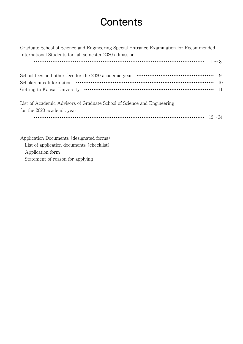# **Contents**

Graduate School of Science and Engineering Special Entrance Examination for Recommended International Students for fall semester 2020 admission 1~8 School fees and other fees for the 2020 academic year  $\cdots$   $\cdots$   $\cdots$   $\cdots$   $\cdots$   $\cdots$   $\cdots$   $\cdots$  9 Scholarships Information  $\cdots$   $\cdots$   $\cdots$   $\cdots$   $\cdots$   $\cdots$   $\cdots$   $\cdots$   $\cdots$   $\cdots$   $\cdots$   $\cdots$   $\cdots$   $\cdots$   $\cdots$   $\cdots$   $\cdots$ Getting to Kansai University 11 List of Academic Advisors of Graduate School of Science and Engineering for the 2020 academic year 12~34

Application Documents (designated forms) List of application documents (checklist) Application form Statement of reason for applying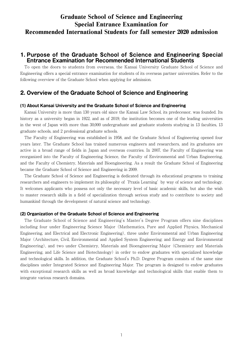## Graduate School of Science and Engineering Special Entrance Examination for Recommended International Students for fall semester 2020 admission

## **1. Purpose of the Graduate School of Science and Engineering Special Entrance Examination for Recommended International Students**

To open the doors to students from overseas, the Kansai University Graduate School of Science and Engineering offers a special entrance examination for students of its overseas partner universities. Refer to the following overview of the Graduate School when applying for admission.

## **2. Overview of the Graduate School of Science and Engineering**

#### **(1) About Kansai University and the Graduate School of Science and Engineering**

Kansai University is more than 130 years old since the Kansai Law School, its predecessor, was founded. Its history as a university began in 1922, and as of 2019, the institution becomes one of the leading universities in the west of Japan with more than 30,000 undergraduate and graduate students studying in 13 faculties, 13 graduate schools, and 2 professional graduate schools.

The Faculty of Engineering was established in 1958, and the Graduate School of Engineering opened four years later. The Graduate School has trained numerous engineers and researchers, and its graduates are active in a broad range of fields in Japan and overseas countries. In 2007, the Faculty of Engineering was reorganized into the Faculty of Engineering Science, the Faculty of Environmental and Urban Engineering, and the Faculty of Chemistry, Materials and Bioengineering. As a result the Graduate School of Engineering became the Graduate School of Science and Engineering in 2009.

The Graduate School of Science and Engineering is dedicated through its educational programs to training researchers and engineers to implement its philosophy of 'Praxis Learning' by way of science and technology. It welcomes applicants who possess not only the necessary level of basic academic skills, but also the wish to master research skills in a field of specialization through serious study and to contribute to society and humankind through the development of natural science and technology.

#### **(2) Organization of the Graduate School of Science and Engineering**

The Graduate School of Science and Engineering's Master's Degree Program offers nine disciplines including four under Engineering Science Major (Mathematics, Pure and Applied Physics, Mechanical Engineering, and Electrical and Electronic Engineering), three under Environmental and Urban Engineering Major (Architecture, Civil, Environmental and Applied System Engineering; and Energy and Environmental Engineering), and two under Chemistry, Materials and Bioengineering Major (Chemistry and Materials Engineering, and Life Science and Biotechnology) in order to endow graduates with specialized knowledge and technological skills. In addition, the Graduate School's Ph.D. Degree Program consists of the same nine disciplines under Integrated Science and Engineering Major. The program is designed to endow graduates with exceptional research skills as well as broad knowledge and technological skills that enable them to integrate various research domains.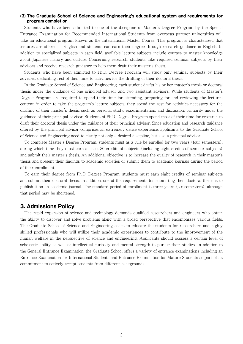#### **(3) The Graduate School of Science and Engineering's educational system and requirements for program completion**

Students who have been admitted to one of the discipline of Master's Degree Program by the Special Entrance Examination for Recommended International Students from overseas partner universities will take an educational program known as the International Master Course. This program is characterized that lectures are offered in English and students can earn their degree through research guidance in English. In addition to specialized subjects in each field, available lecture subjects include courses to master knowledge about Japanese history and culture. Concerning research, students take required seminar subjects by their advisors and receive research guidance to help them draft their master's thesis.

Students who have been admitted to Ph.D. Degree Program will study only seminar subjects by their advisors, dedicating rest of their time to activities for the drafting of their doctoral thesis.

In the Graduate School of Science and Engineering, each student drafts his or her master's thesis or doctoral thesis under the guidance of one principal advisor and two assistant advisors. While students of Master's Degree Program are required to spend their time for attending, preparing for and reviewing the lectures content, in order to take the program's lecture subjects, they spend the rest for activities necessary for the drafting of their master's thesis, such as personal study, experimentation, and discussion, primarily under the guidance of their principal advisor. Students of Ph.D. Degree Program spend most of their time for research to draft their doctoral thesis under the guidance of their principal advisor. Since education and research guidance offered by the principal advisor comprises an extremely dense experience, applicants to the Graduate School of Science and Engineering need to clarify not only a desired discipline, but also a principal advisor.

To complete Master's Degree Program, students must as a rule be enrolled for two years (four semesters), during which time they must earn at least 30 credits of subjects (including eight credits of seminar subjects) and submit their master's thesis. An additional objective is to increase the quality of research in their master's thesis and present their findings to academic societies or submit them to academic journals during the period of their enrollment.

To earn their degree from Ph.D. Degree Program, students must earn eight credits of seminar subjects and submit their doctoral thesis. In addition, one of the requirements for submitting their doctoral thesis is to publish it on an academic journal. The standard period of enrollment is three years (six semesters), although that period may be shortened.

#### **3. Admissions Policy**

The rapid expansion of science and technology demands qualified researchers and engineers who obtain the ability to discover and solve problems along with a broad perspective that encompasses various fields. The Graduate School of Science and Engineering seeks to educate the students for researchers and highly skilled professionals who will utilize their academic experiences to contribute to the improvement of the human welfare in the perspective of science and engineering. Applicants should possess a certain level of scholastic ability as well as intellectual curiosity and mental strength to pursue their studies. In addition to the General Entrance Examination, the Graduate School offers a variety of entrance examinations including an Entrance Examination for International Students and Entrance Examination for Mature Students as part of its commitment to actively accept students from different backgrounds.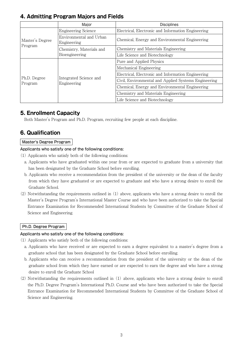## **4. Admitting Program Majors and Fields**

|                            | Major                                  | <b>Disciplines</b>                                   |
|----------------------------|----------------------------------------|------------------------------------------------------|
| Master's Degree<br>Program | <b>Engineering Science</b>             | Electrical, Electronic and Information Engineering   |
|                            | Environmental and Urban<br>Engineering | Chemical, Energy and Environmental Engineering       |
|                            | Chemistry, Materials and               | Chemistry and Materials Engineering                  |
|                            | Bioengineering                         | Life Science and Biotechnology                       |
|                            |                                        | Pure and Applied Physics                             |
|                            |                                        | Mechanical Engineering                               |
|                            | Integrated Science and<br>Engineering  | Electrical, Electronic and Information Engineering   |
| Ph.D. Degree<br>Program    |                                        | Civil, Environmental and Applied Systems Engineering |
|                            |                                        | Chemical, Energy and Environmental Engineering       |
|                            |                                        | Chemistry and Materials Engineering                  |
|                            |                                        | Life Science and Biotechnology                       |

## **5. Enrollment Capacity**

Both Master's Program and Ph.D. Program, recruiting few people at each discipline.

## **6. Qualification**

### Master's Degree Program

#### Applicants who satisfy one of the following conditions:

- (1) Applicants who satisfy both of the following conditions:
	- a. Applicants who have graduated within one year from or are expected to graduate from a university that has been designated by the Graduate School before enrolling.
	- b. Applicants who receive a recommendation from the president of the university or the dean of the faculty from which they have graduated or are expected to graduate and who have a strong desire to enroll the Graduate School.
- (2) Notwithstanding the requirements outlined in (1) above, applicants who have a strong desire to enroll the Master's Degree Program's International Master Course and who have been authorized to take the Special Entrance Examination for Recommended International Students by Committee of the Graduate School of Science and Engineering.

## Ph.D. Degree Program

#### Applicants who satisfy one of the following conditions:

- (1) Applicants who satisfy both of the following conditions:
	- a. Applicants who have received or are expected to earn a degree equivalent to a master's degree from a graduate school that has been designated by the Graduate School before enrolling.
	- b. Applicants who can receive a recommendation from the president of the university or the dean of the graduate school from which they have earned or are expected to earn the degree and who have a strong desire to enroll the Graduate School
- (2) Notwithstanding the requirements outlined in (1) above, applicants who have a strong desire to enroll the Ph.D. Degree Program's International Ph.D. Course and who have been authorized to take the Special Entrance Examination for Recommended International Students by Committee of the Graduate School of Science and Engineering.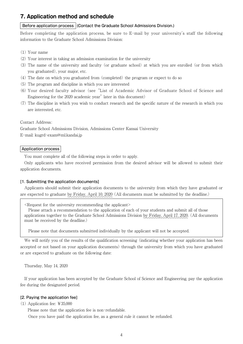## **7. Application method and schedule**

#### Before application process (Contact the Graduate School Admissions Division.)

Before completing the application process, be sure to E-mail by your university's staff the following information to the Graduate School Admissions Division:

- (1) Your name
- (2) Your interest in taking an admission examination for the university
- (3) The name of the university and faculty (or graduate school) at which you are enrolled (or from which you graduated), your major, etc.
- (4) The date on which you graduated from (completed) the program or expect to do so
- (5) The program and discipline in which you are interested
- (6) Your desired faculty advisor (see "List of Academic Advisor of Graduate School of Science and Engineering for the 2020 academic year" later in this document)
- (7) The discipline in which you wish to conduct research and the specific nature of the research in which you are interested, etc.

#### Contact Address :

Graduate School Admissions Division, Admissions Center Kansai University

E-mail: kugrd-exam@ml.kandai.jp

#### Application process

You must complete all of the following steps in order to apply.

Only applicants who have received permission from the desired advisor will be allowed to submit their application documents.

#### [1. Submitting the application documents]

Applicants should submit their application documents to the university from which they have graduated or are expected to graduate by Friday, April 10, 2020 (All documents must be submitted by the deadline.)

 $\leq$ Request for the university recommending the applicant $\geq$ 

 Please attach a recommendation to the application of each of your students and submit all of those applications together to the Graduate School Admissions Division by Friday, April 17, 2020. (All documents must be received by the deadline.)

Please note that documents submitted individually by the applicant will not be accepted.

We will notify you of the results of the qualification screening (indicating whether your application has been accepted or not based on your application documents) through the university from which you have graduated or are expected to graduate on the following date:

Thursday, May 14, 2020

If your application has been accepted by the Graduate School of Science and Engineering, pay the application fee during the designated period.

#### [2. Paying the application fee]

(1) Application fee: ¥35,000

Please note that the application fee is non-refundable.

Once you have paid the application fee, as a general rule it cannot be refunded.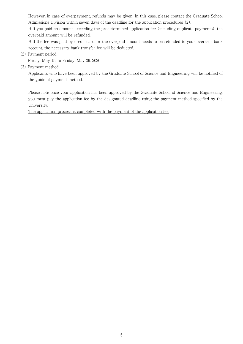However, in case of overpayment, refunds may be given. In this case, please contact the Graduate School Admissions Division within seven days of the deadline for the application procedures (2).

 \*If you paid an amount exceeding the predetermined application fee (including duplicate payments), the overpaid amount will be refunded.

 \*If the fee was paid by credit card, or the overpaid amount needs to be refunded to your overseas bank account, the necessary bank transfer fee will be deducted.

(2) Payment period

Friday, May 15, to Friday, May 29, 2020

(3) Payment method

 Applicants who have been approved by the Graduate School of Science and Engineering will be notified of the guide of payment method.

 Please note once your application has been approved by the Graduate School of Science and Engineering, you must pay the application fee by the designated deadline using the payment method specified by the University.

The application process is completed with the payment of the application fee.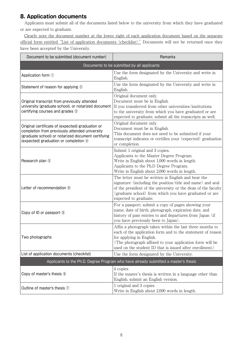## **8. Application documents**

Applicants must submit all of the documents listed below to the university from which they have graduated or are expected to graduate.

Clearly note the document number at the lower right of each application document based on the separate official form entitled "List of application documents (checklist)." Documents will not be returned once they have been accepted by the University.

| Document to be submitted (document number)                                                                                                                                                        | Remarks                                                                                                                                                                                                                                                                     |  |  |
|---------------------------------------------------------------------------------------------------------------------------------------------------------------------------------------------------|-----------------------------------------------------------------------------------------------------------------------------------------------------------------------------------------------------------------------------------------------------------------------------|--|--|
|                                                                                                                                                                                                   | Documents to be submitted by all applicants                                                                                                                                                                                                                                 |  |  |
| Application form 1                                                                                                                                                                                | Use the form designated by the University and write in<br>English.                                                                                                                                                                                                          |  |  |
| Statement of reason for applying 2                                                                                                                                                                | Use the form designated by the University and write in<br>English.                                                                                                                                                                                                          |  |  |
| Original transcript from previously attended<br>university (graduate school), or notarized document<br>certifying courses and grades 3                                                            | Original document only.<br>Document must be in English.<br>If you transferred from other universities/institutions<br>to the university from which you have graduated or are<br>expected to graduate, submit all the transcripts as well.                                   |  |  |
| Original certificate of (expected) graduation or<br>completion from previously attended university<br>(graduate school) or notarized document certifying<br>(expected) graduation or completion 4 | Original document only.<br>Document must be in English.<br>This document does not need to be submitted if your<br>transcript indicates or certifies your (expected) graduation<br>or completion.                                                                            |  |  |
| Research plan 5                                                                                                                                                                                   | Submit 1 original and 3 copies.<br>Applicants to the Master Degree Program.<br>Write in English about 1,000 words in length.<br>Applicants to the Ph.D Degree Program.<br>Write in English about 2,000 words in length.                                                     |  |  |
| Letter of recommendation 8                                                                                                                                                                        | The letter must be written in English and bear the<br>signature (including the position/title and name) and seal<br>of the president of the university or the dean of the faculty<br>(graduate school) from which you have graduated or are<br>expected to graduate.        |  |  |
| Copy of ID or passport <sup>(9)</sup>                                                                                                                                                             | For a passport, submit a copy of pages showing your<br>name, date of birth, photograph, expiration date, and<br>history of past entries to and departures from Japan (if<br>you have previously been to Japan).                                                             |  |  |
| Two photographs                                                                                                                                                                                   | Affix a photograph taken within the last three months to<br>each of the application form and to the statement of reason<br>for applying in English.<br>(The photograph affixed to your application form will be<br>used on the student ID that is issued after enrollment.) |  |  |
| List of application documents (checklist)                                                                                                                                                         | Use the form designated by the University.                                                                                                                                                                                                                                  |  |  |
|                                                                                                                                                                                                   | Applicants to the Ph.D. Degree Program who have already submitted a master's thesis                                                                                                                                                                                         |  |  |
| Copy of master's thesis 6                                                                                                                                                                         | 4 copies<br>If the master's thesis is written in a language other than<br>English, submit an English version.                                                                                                                                                               |  |  |
| Outline of master's thesis 7                                                                                                                                                                      | 1 original and 3 copies<br>Write in English about 2,000 words in length.                                                                                                                                                                                                    |  |  |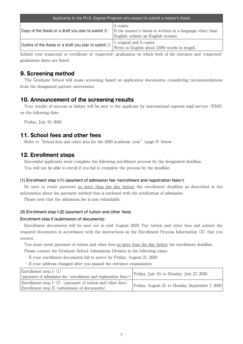| Applicants to the Ph.D. Degree Program who expect to submit a master's thesis |                                                                                                                  |  |  |  |
|-------------------------------------------------------------------------------|------------------------------------------------------------------------------------------------------------------|--|--|--|
| Copy of the thesis or a draft you plan to submit $\circledcirc$               | $ 4$ copies<br>If the master's thesis is written in a language other than<br>English, submit an English version. |  |  |  |
| Outline of the thesis or a draft you plan to submit $\oslash$                 | 1 original and 3 copies<br>Write in English about 2,000 words in length.                                         |  |  |  |

Submit your transcript or certificate of (expected) graduation on which both of the entrance and (expected) graduation dates are listed.

## **9. Screening method**

The Graduate School will make screening based on application documents, considering recommendations from the designated partner universities.

## **10. Announcement of the screening results**

Your results of success or failure will be sent to the applicant by international express mail service (EMS) on the following date:

Friday, July 10, 2020

## **11. School fees and other fees**

Refer to "School fees and other fees for the 2020 academic year" (page 9) below.

## **12. Enrollment steps**

Successful applicants must complete the following enrollment process by the designated deadline. You will not be able to enroll if you fail to complete the process by the deadline.

#### (1) Enrollment step I-(1) (payment of admission fee <enrollment and registration fees>)

Be sure to remit payment no later than the day before the enrollment deadline as described in the information about the payment method that is enclosed with the notification of admission.

Please note that the admission fee is non-refundable.

#### (2) Enrollment step I-(2) (payment of tuition and other fees)

#### Enrollment step II (submission of documents)

Enrollment documents will be sent out in mid August 2020. Pay tuition and other fees and submit the required documents in accordance with the instructions on the Enrollment Process Information (II) that you receive.

You must remit payment of tuition and other fees no later than the day before the enrollment deadline.

Please contact the Graduate School Admissions Division in the following cases:

- ・ If your enrollment documents fail to arrive by Friday, August 21, 2020
- ・ If your address changed after you passed the entrance examination

| Enrollment step $I-(1)$<br>(payment of admission fee <enrollment and="" fees="" registration="">)</enrollment> | Friday, July 10, to Monday, July 27, 2020       |
|----------------------------------------------------------------------------------------------------------------|-------------------------------------------------|
| Enrollment step $I-(2)$ (payment of tuition and other fees)<br>Enrollment step II (submission of documents)    | Friday, August 21, to Monday, September 7, 2020 |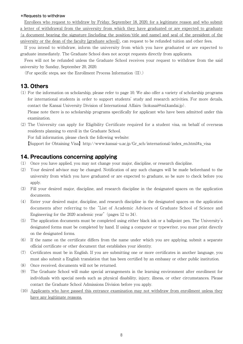#### \*Requests to withdraw

Enrollees who request to withdraw by Friday, September 18, 2020, for a legitimate reason and who submit a letter of withdrawal from the university from which they have graduated or are expected to graduate (a document bearing the signature [including the position/title and name] and seal of the president of the university or the dean of the faculty [graduate school]), can request to be refunded tuition and other fees.

If you intend to withdraw, inform the university from which you have graduated or are expected to graduate immediately. The Graduate School does not accept requests directly from applicants.

Fees will not be refunded unless the Graduate School receives your request to withdraw from the said university by Sunday, September 20, 2020.

(For specific steps, see the Enrollment Process Information (II).)

### **13. Others**

(1) For the information on scholarship, please refer to page 10. We also offer a variety of scholarship programs for international students in order to support students' study and research activities. For more details, contact the Kansai University Division of International Affairs (kokusai@ml.kandai.jp).

Please note there is no scholarship programs specifically for applicant who have been admitted under this examination.

(2) The University can apply for Eligibility Certificate required for a student visa, on behalf of overseas residents planning to enroll in the Graduate School.

For full information, please check the following website:

【Support for Obtaining Visa】http://www.kansai-u.ac.jp/Gr\_sch/international/index\_en.html#a\_visa

### **14. Precautions concerning applying**

- (1) Once you have applied, you may not change your major, discipline, or research discipline.
- (2) Your desired advisor may be changed. Notification of any such changes will be made beforehand to the university from which you have graduated or are expected to graduate, so be sure to check before you apply.
- (3) Fill your desired major, discipline, and research discipline in the designated spaces on the application documents.
- (4) Enter your desired major, discipline, and research discipline in the designated spaces on the application documents after referring to the "List of Academic Advisors of Graduate School of Science and Engineering for the 2020 academic year" (pages 12 to 34).
- (5) The application documents must be completed using either black ink or a ballpoint pen. The University's designated forms must be completed by hand. If using a computer or typewriter, you must print directly on the designated forms.
- (6) If the name on the certificate differs from the name under which you are applying, submit a separate official certificate or other document that establishes your identity.
- (7) Certificates must be in English. If you are submitting one or more certificates in another language, you must also submit a English translation that has been certified by an embassy or other public institution.
- (8) Once received, documents will not be returned.
- (9) The Graduate School will make special arrangements in the learning environment after enrollment for individuals with special needs such as physical disability, injury, illness, or other circumstances. Please contact the Graduate School Admissions Division before you apply.
- (10) Applicants who have passed this entrance examination may not withdraw from enrollment unless they have any legitimate reasons.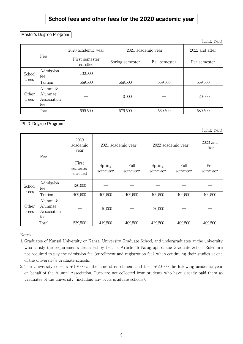## **School fees and other fees for the 2020 academic year**

#### Master's Degree Program

|               |                                           |                                          |                 |                | $\sqrt{2110}$ , $\pm 0.11$ |
|---------------|-------------------------------------------|------------------------------------------|-----------------|----------------|----------------------------|
|               |                                           | 2020 academic year<br>2021 academic year |                 | 2022 and after |                            |
|               | Fee                                       | First semester<br>enrolled               | Spring semester | Fall semester  | Per semester               |
| School        | Admission<br>fee                          | 130,000                                  |                 |                |                            |
| Fees          | Tuition                                   | 569,500                                  | 569,500         | 569,500        | 569,500                    |
| Other<br>Fees | Alumni &<br>Alumnae<br>Association<br>fee |                                          | 10,000          |                | 20,000                     |
|               | Total                                     | 699,500                                  | 579,500         | 569,500        | 589,500                    |

## Ph.D. Degree Program

|               |                                           |                               |                    |                  |                    |                  | $\sqrt{GM}$ , $\sqrt{M}$ |
|---------------|-------------------------------------------|-------------------------------|--------------------|------------------|--------------------|------------------|--------------------------|
|               |                                           | 2020<br>academic<br>year      | 2021 academic year |                  | 2022 academic year |                  | 2023 and<br>after        |
|               | Fee                                       | First<br>semester<br>enrolled | Spring<br>semester | Fall<br>semester | Spring<br>semester | Fall<br>semester | Per<br>semester          |
| School        | Admission<br>fee                          | 130,000                       |                    |                  |                    |                  |                          |
| Fees          | Tuition                                   | 409,500                       | 409,500            | 409,500          | 409,500            | 409,500          | 409,500                  |
| Other<br>Fees | Alumni &<br>Alumnae<br>Association<br>fee |                               | 10,000             |                  | 20,000             |                  |                          |
|               | Total                                     | 539,500                       | 419,500            | 409,500          | 429,500            | 409,500          | 409,500                  |

Notes

- 1. Graduates of Kansai University or Kansai University Graduate School, and undergraduates at the university who satisfy the requirements described by 1-11 of Article 46 Paragraph of the Graduate School Rules are not required to pay the admission fee (enrollment and registration fee) when continuing their studies at one of the university's graduate schools.
- 2. The University collects  $\text{\textsterling}10,000$  at the time of enrollment and then  $\text{\textsterling}20,000$  the following academic year on behalf of the Alumni Association. Dues are not collected from students who have already paid them as graduates of the university (including any of its graduate schools).

 $(Hint: Van)$ 

 $(Hint: Van)$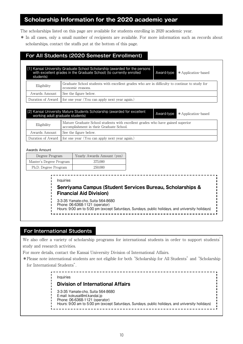## **Scholarship Information for the 2020 academic year**

The scholarships listed on this page are available for students enrolling in 2020 academic year.

\* In all cases, only a small number of recipients are available. For more information such as records about scholarships, contact the staffs put at the bottom of this page.

## **For All Students (2020 Semester Enrollment)**

| Eligibility                                     |                       | Graduate School students with excellent grades who are in difficulty to continue to study for<br>economic reasons.                                         |  |            |                     |
|-------------------------------------------------|-----------------------|------------------------------------------------------------------------------------------------------------------------------------------------------------|--|------------|---------------------|
| Awards Amount                                   |                       | See the figure below.                                                                                                                                      |  |            |                     |
| Duration of Award                               |                       | for one year (You can apply next year again.)                                                                                                              |  |            |                     |
| working adult graduate students)<br>Eligibility |                       | [2] Kansai University Mature Students Scholarship (awarded for excellent<br>Mature Graduate School students with excellent grades who have gained superior |  | Award-type | * Application-based |
|                                                 |                       | accomplishment in their Graduate School.                                                                                                                   |  |            |                     |
| Awards Amount<br>Duration of Award              | See the figure below. |                                                                                                                                                            |  |            |                     |
|                                                 |                       | for one year (You can apply next year again.)                                                                                                              |  |            |                     |
| Awards Amount                                   |                       |                                                                                                                                                            |  |            |                     |
| Degree Program                                  |                       | Yearly Awards Amount (yen)                                                                                                                                 |  |            |                     |
| Master's Degree Program                         |                       | 375,000                                                                                                                                                    |  |            |                     |
| Ph.D. Degree Program                            |                       | 250,000                                                                                                                                                    |  |            |                     |
|                                                 |                       |                                                                                                                                                            |  |            |                     |
|                                                 | Inquiries             | Senriyama Campus (Student Services Bureau, Scholarships &<br><b>Financial Aid Division)</b>                                                                |  |            |                     |

## **For International Students**

We also offer a variety of scholarship programs for international students in order to support students' study and research activities.

For more details, contact the Kansai University Division of International Affairs.

\* Please note international students are not eligible for both "Scholarship for All Students" and "Scholarship for International Students".

> Inquiries **Division of International Affairs** 3-3-35 Yamate-cho, Suita 564-8680 E-mail: kokusai@ml.kandai.jp Phone: 06-6368-1121 (operator) Hours: 9:00 am to 5:00 pm (except Saturdays, Sundays, public holidays, and university holidays)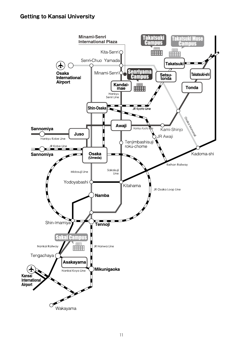## **Getting to Kansai University**

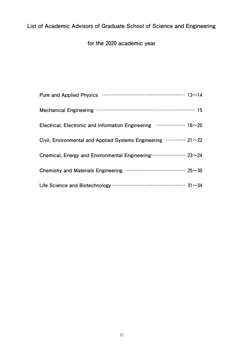## **List of Academic Advisors of Graduate School of Science and Engineering**

**for the** 2020 **academic year**

| Electrical, Electronic and Information Engineering  16~20                 |  |
|---------------------------------------------------------------------------|--|
| Civil, Environmental and Applied Systems Engineering ………… 21~22           |  |
| Chemical, Energy and Environmental Engineering ···················· 23~24 |  |
|                                                                           |  |
|                                                                           |  |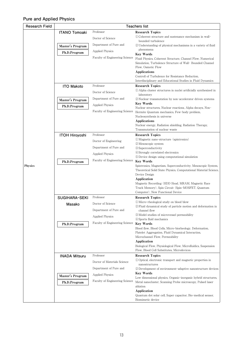## **Pure and Applied Physics**

| <b>Research Field</b> |                       | <b>Teachers list</b>           |                                                                                                                         |  |
|-----------------------|-----------------------|--------------------------------|-------------------------------------------------------------------------------------------------------------------------|--|
|                       | <b>ITANO Tomoaki</b>  | Professor                      | <b>Research Topics</b>                                                                                                  |  |
|                       |                       | Doctor of Science              | 1) Coherent structure and sustenance mechanism in wall-<br>bounded turbulence                                           |  |
|                       | Master's Program      | Department of Pure and         | 2) Understanding of physical mechanisms in a variety of fluid                                                           |  |
|                       | Ph.D.Program          | Applied Physics                | phenomena                                                                                                               |  |
|                       |                       | Faculty of Engineering Science | <b>Key Words</b>                                                                                                        |  |
|                       |                       |                                | Fluid Physics, Coherent Structure, Channel Flow, Numerical<br>Simulation, Turbulence Structure of Wall- Bounded Channel |  |
|                       |                       |                                | Flow, Osmotic Flow                                                                                                      |  |
|                       |                       |                                | Applications                                                                                                            |  |
|                       |                       |                                | Controll of Turbulence for Resistance Reduction.<br>Interdisciplinary and Educational Studies in Fluid Dynamics         |  |
|                       | <b>ITO Makoto</b>     | Professor                      | <b>Research Topics</b>                                                                                                  |  |
|                       |                       | Doctor of Science              | (1) Alpha cluster structures in nuclei artificially synthesized in                                                      |  |
|                       |                       | Department of Pure and         | laboratory                                                                                                              |  |
|                       | Master's Program      |                                | 2) Nuclear transmutation by non-accelerator driven systems<br><b>Key Words</b>                                          |  |
|                       | Ph.D.Program          | <b>Applied Physics</b>         | Nuclear structures, Nuclear reactions, Alpha decays, Non-                                                               |  |
|                       |                       | Faculty of Engineering Science | Hermite Quantum mechanics, Few-body problem,                                                                            |  |
|                       |                       |                                | Nucleosynthesis in universe<br><b>Applications</b>                                                                      |  |
|                       |                       |                                | Nuclear energy, Radiation shielding, Radiation Therapy,                                                                 |  |
|                       |                       |                                | Transmutation of nuclear waste                                                                                          |  |
|                       | <b>ITOH Hiroyoshi</b> | Professor                      | <b>Research Topics</b><br>(1) Magnetic nano-structure (spintronics)                                                     |  |
|                       |                       | Doctor of Engineering          | (2) Mesoscopic system                                                                                                   |  |
|                       |                       | Department of Pure and         | 3 Superconductivity                                                                                                     |  |
|                       |                       | Applied Physics                | 4) Strongly correlated electronics                                                                                      |  |
|                       | Ph.D.Program          | Faculty of Engineering Science | (5) Device design using computational simulation<br><b>Key Words</b>                                                    |  |
| Physics               |                       |                                | Spintronics, Magnetism, Superconductivity, Mesoscopic System,                                                           |  |
|                       |                       |                                | Theoretical Solid State Physics, Computational Material Science,                                                        |  |
|                       |                       |                                | Device Design<br>Application                                                                                            |  |
|                       |                       |                                | Magnetic Recording (HDD Head, MRAM, Magnetic Race                                                                       |  |
|                       |                       |                                | Track Memory), Spin Circuit (Spin-MOSFET, Quantum                                                                       |  |
|                       | <b>SUGIHARA-SEKI</b>  | Professor                      | Computer), New Functional Device<br><b>Research Topics</b>                                                              |  |
|                       |                       | Doctor of Science              | 1) Micro-rheological study on blood blow                                                                                |  |
|                       | Masako                |                                | 2 Fluid dynamical study of particle motion and deformation in                                                           |  |
|                       |                       | Department of Pure and         | channel flow<br>3 Model studies of microvessel permeability                                                             |  |
|                       |                       | Applied Physics                | 4) Sports fluid mechanics                                                                                               |  |
|                       | Ph.D.Program          | Faculty of Engineering Science | <b>Key Words</b>                                                                                                        |  |
|                       |                       |                                | Blood flow, Blood Cells, Micro-biorheology, Deformation,                                                                |  |
|                       |                       |                                | Platelet Aggregation, Fluid Dynamical Interaction,<br>Microchannel Flow, Permeability                                   |  |
|                       |                       |                                | Application                                                                                                             |  |
|                       |                       |                                | Biological Flow, Physiological Flow, Microfluidics, Suspension                                                          |  |
|                       | <b>INADA Mitsuru</b>  | Professor                      | Flow, Blood Cell Substitutes, Microdevices<br><b>Research Topics</b>                                                    |  |
|                       |                       | Doctor of Materials Science    | 1) Optical, electronic transport and magnetic properties in                                                             |  |
|                       |                       |                                | nanostructures                                                                                                          |  |
|                       |                       | Department of Pure and         | 2) Development of environment-adaptive nanostructure devices<br><b>Key Words</b>                                        |  |
|                       | Master's Program      | Applied Physics                | Low dimensional physics, Organic-inorganic hybrid structures,                                                           |  |
|                       | Ph.D.Program          | Faculty of Engineering Science | Metal nanocluster, Scanning Probe microscopy, Pulsed laser                                                              |  |
|                       |                       |                                | ablation<br>Application                                                                                                 |  |
|                       |                       |                                | Quantum dot solar cell, Super capacitor, Bio-medical sensor,                                                            |  |
|                       |                       |                                | Biomimetic device                                                                                                       |  |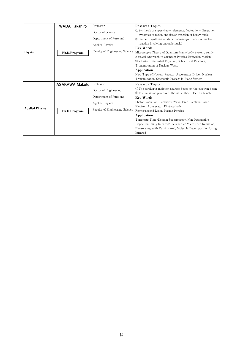|                        | <b>WADA Takahiro</b> | Professor                      | <b>Research Topics</b>                                                                                                      |
|------------------------|----------------------|--------------------------------|-----------------------------------------------------------------------------------------------------------------------------|
|                        |                      | Doctor of Science              | (1) Synthesis of super-heavy elements, fluctuation-dissipation<br>dynamics of fusion and fission reaction of heavy nuclei   |
|                        |                      | Department of Pure and         | 2) Element synthesis in stars, microscopic theory of nuclear                                                                |
|                        |                      | <b>Applied Physics</b>         | reaction involving unstable nuclei                                                                                          |
|                        |                      | Faculty of Engineering Science | <b>Key Words</b><br>Microscopic Theory of Quantum Many-body System, Semi-                                                   |
| <b>Physics</b>         | Ph.D.Program         |                                | classical Approach to Quantum Physics, Brownian Motion,                                                                     |
|                        |                      |                                | Stochastic Differential Equation, Sub-critical Reactors,                                                                    |
|                        |                      |                                | Transmutation of Nuclear Waste                                                                                              |
|                        |                      |                                | Application                                                                                                                 |
|                        |                      |                                | New Type of Nuclear Reactor, Accelerator Driven Nuclear                                                                     |
|                        |                      |                                | Transmutation, Stochastic Process in Biotic System                                                                          |
|                        | ASAKAWA Makoto       | Professor                      | <b>Research Topics</b>                                                                                                      |
|                        |                      | Doctor of Engineering          | (1) The terahertz radiation sources based on the electron beam<br>2 The radiation process of the ultra-short electron bunch |
|                        |                      | Department of Pure and         | <b>Key Words</b>                                                                                                            |
|                        |                      | <b>Applied Physics</b>         | Photon Radiation, Terahertz Wave, Free-Electron Laser.                                                                      |
| <b>Applied Physics</b> |                      |                                | Electron Accelerator, Photocathode,                                                                                         |
|                        | Ph.D.Program         | Faculty of Engineering Science | Femto-second Laser, Plasma Physics                                                                                          |
|                        |                      |                                | Application                                                                                                                 |
|                        |                      |                                | Terahertz Time-Domain Spectroscopy, Non Destructive                                                                         |
|                        |                      |                                | Inspection Using Infrared/Terahertz/Microwave Radiation.                                                                    |
|                        |                      |                                | Bio-sensing With Far-infrared, Molecule Decomposition Using                                                                 |
|                        |                      |                                | Infrared                                                                                                                    |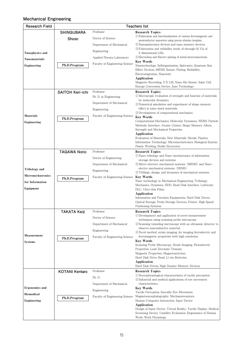### **Mechanical Engineering**

| <b>Research Field</b>    | <b>Teachers list</b>  |                                |                                                                                                                   |  |
|--------------------------|-----------------------|--------------------------------|-------------------------------------------------------------------------------------------------------------------|--|
|                          | <b>SHINGUBARA</b>     | Professor                      | <b>Research Topics</b>                                                                                            |  |
|                          | Shoso                 | Doctor of Science              | (1) Fabrication and functionalization of various ferromagnetic and                                                |  |
|                          |                       |                                | semiconductor nanowires using porous alumina template.                                                            |  |
|                          |                       | Department of Mechanical       | (2) Nanospintronics devices and nano memory devices.<br>3) Fabrication and reliability study of through-Si Via of |  |
| Nanophysics and          |                       | Engineering                    | 3-dimensional LSIs.                                                                                               |  |
| <b>Nanomaterials</b>     |                       | Applied Physics Laboratory     | 4) Electroless and Electro-plating of metal interconnections.                                                     |  |
|                          |                       | Faculty of Engineering Science | <b>Key Words</b>                                                                                                  |  |
| Engineering              | Ph.D.Program          |                                | Nanotechnology, Selforganization, Spitronics, Quantum Size<br>Effect Devices, MEMS, Sensor, Plating, Reliability, |  |
|                          |                       |                                | Electromigration, Nanowire                                                                                        |  |
|                          |                       |                                | Application                                                                                                       |  |
|                          |                       |                                | Magnetic Recording, 3-D LSI, Nano-Bio Sensor, Solar Cell,                                                         |  |
|                          |                       |                                | Energy Conversion Device, Jisso Technology                                                                        |  |
|                          | SAITOH Ken-ichi       | Professor                      | <b>Research Topics</b><br>1) Microscopic evaluation of strength and function of materials                         |  |
|                          |                       | Ph. D. in Engineering          | by molecular dynamics                                                                                             |  |
|                          |                       | Department of Mechanical       | (2) Numerical simulation and experiment of shape memory                                                           |  |
|                          |                       | Engineering                    | effect in nano-sized materials                                                                                    |  |
| <b>Materials</b>         |                       | Faculty of Engineering Science | 3) Development of computational mechanics<br><b>Key Words</b>                                                     |  |
| Engineering              | Ph.D.Program          |                                | Computational Mechanics, Molecular Dynamics, NEMS, Particle                                                       |  |
|                          |                       |                                | Methods, Interface, Atomic Cluster, Shape Memory Alloys,                                                          |  |
|                          |                       |                                | Strength and Mechanical Properties                                                                                |  |
|                          |                       |                                | Application<br>Evaluation of Materials, New Materials, Metals, Plastics,                                          |  |
|                          |                       |                                | Information Technology, Micromechatronics, Biological System,                                                     |  |
|                          |                       |                                | Plastic Working, Stable Structures                                                                                |  |
|                          | <b>TAGAWA Norio</b>   | Professor                      | <b>Research Topics</b>                                                                                            |  |
|                          |                       | Doctor of Engineering          | 1) Nano-tribology and Nano-mechatronics of information<br>storage devices and systems                             |  |
|                          |                       | Department of Mechanical       | (2) Micro-electoro-mechanical systems (MEMS) and Nano-                                                            |  |
| Tribology and            |                       | Engineering                    | electro-mechanical systems (NEMS)                                                                                 |  |
| <b>Micromechatronics</b> |                       |                                | (3) Triblogy, design, and dynamics of mechanical systems<br><b>Key Words</b>                                      |  |
| for Information          | Ph.D.Program          | Faculty of Engineering Science | Nano-technology in Mechanical Engineering, Tribology,                                                             |  |
|                          |                       |                                | Mechanics, Dynamics, HDD, Head Disk Interface, Lubricant,                                                         |  |
| Equipment                |                       |                                | DLC, Ultra-thin Films                                                                                             |  |
|                          |                       |                                | Application<br>Information and Precision Equipments, Hard Disk Drives,                                            |  |
|                          |                       |                                | Optical Storage, Probe Storage Devices, Printer, High Speed                                                       |  |
|                          |                       |                                | Positioning Systems                                                                                               |  |
|                          | <b>TAKATA Keiji</b>   | Professor                      | <b>Research Topics</b>                                                                                            |  |
|                          |                       | Doctor of Science              | 1 Development and application of novel measurement<br>techniques using scanning probe microscopy                  |  |
|                          |                       | Department of Mechanical       | 2 Scanning tunneling microscope with an ultrasonic detector to                                                    |  |
|                          |                       | Engineering                    | observe nonconductive material.                                                                                   |  |
| Measurement              |                       | Faculty of Engineering Science | (3) Novel method, strain imaging, for imaging ferroelectric and<br>ferromagnetic properties with high resolution. |  |
| <b>Systems</b>           | Ph.D.Program          |                                | <b>Key Words</b>                                                                                                  |  |
|                          |                       |                                | Scanning Probe Microscopy, Strain Imaging, Piezoelectric                                                          |  |
|                          |                       |                                | Properties, Lead Zirconate Titanate,<br>Magnetic Properties, Magnetostriction,                                    |  |
|                          |                       |                                | Hard Disk Drive Head. Li-ion Batteries                                                                            |  |
|                          |                       |                                | Application                                                                                                       |  |
|                          |                       |                                | Hard Disk Drives, High Density Memory Devices                                                                     |  |
|                          | <b>KOTANI Kentaro</b> | Professor                      | <b>Research Topics</b><br>(1) Neurophysiological characteristics of tactile perception                            |  |
|                          |                       | Ph. D.                         | 2) Industrial and medical applications of eye movement                                                            |  |
|                          |                       | Department of Mechanical       | characteristics.                                                                                                  |  |
| Ergonomics and           |                       | Engineering                    | <b>Key Words</b>                                                                                                  |  |
| <b>Biomedical</b>        |                       | Faculty of Engineering Science | Tactile Perception, Saccadic Eye Movement,<br>Magnetoencephalography, Mechanoreceptors,                           |  |
| Engineering              | Ph.D.Program          |                                | Human-Computer Interaction, Input Device                                                                          |  |
|                          |                       |                                | Application                                                                                                       |  |
|                          |                       |                                | Design of Input Device, Virtual Reality, Tactile Display, Medical                                                 |  |
|                          |                       |                                | Screening Device, Usability Evaluation, Ergonomics of Human<br>Work, Work Physiology                              |  |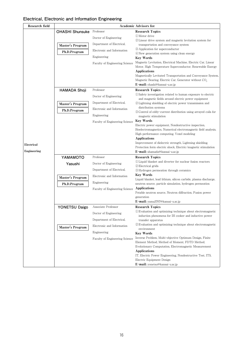## **Electrical, Electronic and Information Engineering**

| Research field |                         |                                | <b>Academic Advisors list</b>                                                                                                     |
|----------------|-------------------------|--------------------------------|-----------------------------------------------------------------------------------------------------------------------------------|
|                | <b>OHASHI Shunsuke</b>  | Professor                      | <b>Research Topics</b>                                                                                                            |
|                |                         | Doctor of Engineering          | 1) Motor drive<br>2) Linear drive system and magnetic levitation system for                                                       |
|                | Master's Program        | Department of Electrical,      | transportation and conveyance system                                                                                              |
|                | Ph.D.Program            | Electronic and Information     | 3 Application for superconductor                                                                                                  |
|                |                         | Engineering                    | 4) New generation system using clean energy<br><b>Key Words</b>                                                                   |
|                |                         | Faculty of Engineering Science | Magnetic Levitation, Electrical Machine, Electric Car, Linear<br>Motor, High Temperature Superconductor, Renewable Energy         |
|                |                         |                                | Applications                                                                                                                      |
|                |                         |                                | Magnetically Levitated Transportation and Conveyance System,<br>Magnetic Bearing, Electric Car, Generator without CO <sub>2</sub> |
|                |                         |                                | E-mail: ohashi@kansai-u.ac.jp                                                                                                     |
|                | <b>HAMADA Shoji</b>     | Professor                      | <b>Research Topics</b><br>(1) Safety investigation related to human exposure to electric                                          |
|                |                         | Doctor of Engineering          | and magnetic fields around electric power equipment                                                                               |
|                | <b>Master's Program</b> | Department of Electrical,      | 2 Lightning shielding of electric power transmission and                                                                          |
|                | Ph.D.Program            | Electronic and Information     | distribution systems                                                                                                              |
|                |                         | Engineering                    | (3) Control of eddy-current distribution using arrayed coils for<br>magnetic stimulation                                          |
|                |                         | Faculty of Engineering Science | <b>Key Words</b>                                                                                                                  |
|                |                         |                                | Electric power equipment, Nondestructive inspection,                                                                              |
|                |                         |                                | Bioelectromagnetics, Numerical electromagnetic field analysis,                                                                    |
|                |                         |                                | High performance computing, Voxel modeling<br>Applications                                                                        |
|                |                         |                                | Improvement of dielectric strength, Lightning shielding,                                                                          |
| Electrical     |                         |                                | Protection form electric shock, Electric/magnetic stimulation                                                                     |
| Engineering    |                         |                                | <b>E-mail:</b> shamada@kansai-u.ac.jp                                                                                             |
|                | YAMAMOTO                | Professor                      | <b>Research Topics</b>                                                                                                            |
|                | Yasushi                 | Doctor of Engineering          | (1) Liquid blanket and diverter for nuclear fusion reactors<br>(2) Electrical grids                                               |
|                |                         | Department of Electrical,      | 3) Hydrogen permeation through ceramics                                                                                           |
|                | Master's Program        | Electronic and Information     | <b>Key Words</b>                                                                                                                  |
|                | Ph.D.Program            | Engineering                    | Liquid blanket, lead lithium, silicon carbide, plasma discharge,<br>neutron source, particle simulation, hydrogen permeation      |
|                |                         | Faculty of Engineering Science | Applications                                                                                                                      |
|                |                         |                                | Potable neutron source, Neutron diffraction, Fusion power                                                                         |
|                |                         |                                | generation                                                                                                                        |
|                |                         |                                | E-mail: yama3707@kansai-u.ac.jp                                                                                                   |
|                | YONETSU Daigo           | Associate Professor            | <b>Research Topics</b><br>1) Evaluation and optimizing technique about electromagnetic                                            |
|                |                         | Doctor of Engineering          | induction phenomena for IH cooker and inductive power                                                                             |
|                |                         | Department of Electrical,      | transfer apparatus                                                                                                                |
|                | Master's Program        | Electronic and Information     | 2 Evaluation and optimizing technique about electromagnetic<br>environment                                                        |
|                |                         | Engineering                    | <b>Key Words</b>                                                                                                                  |
|                |                         | Faculty of Engineering Science | Inverse Problem, Multi-objective Optimum Design, Finite<br>Element Method, Method of Moment, FDTD Method,                         |
|                |                         |                                | Evolutionary Computation, Electromagnetic Measurement                                                                             |
|                |                         |                                | Applications                                                                                                                      |
|                |                         |                                | IT, Electric Power Engineering, Nondestructive Test, ITS,                                                                         |
|                |                         |                                | Electric Equipment Design                                                                                                         |
|                |                         |                                | E-mail: yonetsu@kansai-u.ac.jp                                                                                                    |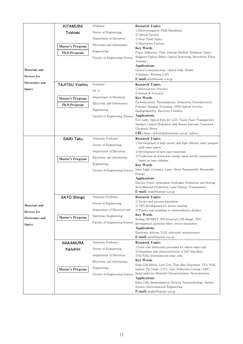|                        | <b>KITAMURA</b>        | Professor                      | <b>Research Topics</b>                                                                                                                   |
|------------------------|------------------------|--------------------------------|------------------------------------------------------------------------------------------------------------------------------------------|
|                        | Toshiaki               | Doctor of Engineering          | 1) Electromagnetic Field Simulation                                                                                                      |
|                        |                        | Department of Electrical,      | (2) Optical Devices<br>3 Near-Field Optics                                                                                               |
|                        |                        | Electronic and Information     | 4) Microwave Devices                                                                                                                     |
|                        | Master's Program       | Engineering                    | <b>Key Words</b>                                                                                                                         |
|                        | Ph.D.Program           |                                | Finite-Difference Time-Domain Method, Nonlinear Optics,<br>Magneto-Optical Effect, Optical Scattering, Microwave Filter,                 |
|                        |                        | Faculty of Engineering Science | Antenna                                                                                                                                  |
|                        |                        |                                | Applications                                                                                                                             |
| Materials and          |                        |                                | Optical Communication, Optical Disk, Mobile                                                                                              |
| Devices for            |                        |                                | Telephone, Wireless LAN<br>E-mail: kita@kansai-u.ac.jp                                                                                   |
| <b>Electronics and</b> | <b>TAJITSU Yoshiro</b> | Professor                      | <b>Research Topics</b>                                                                                                                   |
| Optics                 |                        | Ph. D                          | (1) Electroactive Polymer                                                                                                                |
|                        |                        |                                | 2) Sensor & Actuator                                                                                                                     |
|                        | Master's Program       | Department of Electrical,      | <b>Key Words</b><br>Piezoelectricity, Photoelasticity, Dielectrics, Ferroelectricty,                                                     |
|                        | Ph.D.Program           | Electronic and Information     | Polymer, Sensing, Actuating, AFM Optical Activity,                                                                                       |
|                        |                        | Engineering                    | Biodegradab1ity, Electrets, Chirality                                                                                                    |
|                        |                        | Faculty of Engineering Science | <b>Applications</b>                                                                                                                      |
|                        |                        |                                | Eco-cable, Optical Film for LCD, Touch Panel Transparency<br>Speaker, Optical Modulator, Soft Sensor Galvanic Tweezers,                  |
|                        |                        |                                | Ultrasonic Motor                                                                                                                         |
|                        |                        |                                | URL: http://www2.ipcku.kansai-u.ac.jp/~tajitsu/                                                                                          |
|                        | <b>SAIKI Taku</b>      | Associate Professor            | <b>Research Topics</b>                                                                                                                   |
|                        |                        | Doctor of Engineering          | 1) Development of high-power and high-efficient solar-pumped<br>solid-state lasers                                                       |
|                        |                        | Department of Electrical,      | 2 Development of new laser materials                                                                                                     |
|                        | Master's Program       | Electronic and Information     | 3) Production of renewable energy using metalic nanoparticles                                                                            |
|                        |                        | Engineering                    | based on laser ablation<br><b>Key Words</b>                                                                                              |
|                        |                        | Faculty of Engineering Science | Solar Light, Ceramics, Laser, Metal Nanoparticle, Renewable                                                                              |
|                        |                        |                                | Energy                                                                                                                                   |
|                        |                        |                                | Applications<br>Electric Power Generation, Hydrogen Production and Storing,                                                              |
|                        |                        |                                | New Material Production, Laser Energy Transmission                                                                                       |
|                        |                        |                                | E-mail: tsaiki@kansai-u.ac.jp                                                                                                            |
|                        | <b>SATO Shingo</b>     | Associate Professor            | <b>Research Topics</b>                                                                                                                   |
| Materials and          |                        | Doctor of Engineering          | (1) Device and process simulation<br>(2) TEG development for device analysis                                                             |
| Devices for            |                        | Department of Electrical and   | 3) Theory and modeling on semiconductor physics                                                                                          |
| <b>Electronics and</b> | Master's Program       | Electronic Engineering         | <b>Key Words</b>                                                                                                                         |
|                        |                        | Faculty of Engineering Science | Scaling, MOSFET, SOI structure, LSI design, TEG<br>development, quantum effect, device simulation                                        |
| Optics                 |                        |                                | <b>Applications</b>                                                                                                                      |
|                        |                        |                                | Electronic devices, VLSI, electronic measurement                                                                                         |
|                        |                        |                                | E-mail: satos@kansai-u.ac.jp                                                                                                             |
|                        | <b>NAKAMURA</b>        | Associate Professor            | <b>Research Topics</b><br>1) Low-cost fabrication processes for silicon solar cells                                                      |
|                        | Kazuhiro               | Doctor of Engineering          | 2) Deposition and characterization of ZnO thin films                                                                                     |
|                        |                        | Department of Electrical,      | 3 Si/FeSiz heterojunction solar cells                                                                                                    |
|                        |                        | Electronic and Information     | <b>Key Words</b>                                                                                                                         |
|                        | Master's Program       | Engineering                    | Solar Cell, Silicon, Low Cost, Thin-film Deposition, TiO <sub>2</sub> , FeSiz,<br>Indium Tin Oxide (ITO), Anti-Reflection Coating (ARC), |
|                        |                        | Faculty of Engineering Science | Semiconductor Material Characterization, Heterojunction                                                                                  |
|                        |                        |                                | Applications                                                                                                                             |
|                        |                        |                                | Solar Cells, Semiconductor Devices, Nanotechnology, Surface<br>Science, Environmental Engineering                                        |
|                        |                        |                                | E-mail: knaka@kansai-u.ac.jp                                                                                                             |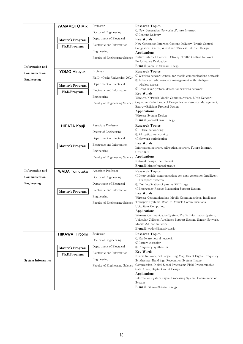|                           | YAMAMOTO Miki         | Professor                       | <b>Research Topics</b>                                                                                                   |
|---------------------------|-----------------------|---------------------------------|--------------------------------------------------------------------------------------------------------------------------|
|                           |                       | Doctor of Engineering           | (1) New Generation Networks (Future Internet)                                                                            |
|                           |                       |                                 | 2) Content Delivery                                                                                                      |
|                           | Master's Program      | Department of Electrical,       | <b>Key Words</b>                                                                                                         |
|                           | Ph.D.Program          | Electronic and Information      | New Generation Internet, Content Delivery, Traffic Control,<br>Congestion Control, Wired and Wireless Internet Design    |
|                           |                       | Engineering                     | <b>Applications</b>                                                                                                      |
|                           |                       | Faculty of Engineering Science  | Future Internet, Content Delivery, Traffic Control, Network                                                              |
|                           |                       |                                 | Performance Evaluation                                                                                                   |
| <b>Information</b> and    |                       |                                 | E-mail: yama-m@kansai-u.ac.jp                                                                                            |
| Communication             | YOMO Hiroyuki         | Professor                       | <b>Research Topics</b>                                                                                                   |
| Engineering               |                       | Ph. D. (Osaka University, 2002) | 1) Wireless network control for mobile communications network<br>(2) Advanced radio resource management with intelligent |
|                           | Master's Program      | Department of Electrical,       | wireless access                                                                                                          |
|                           | Ph.D.Program          | Electronic and Information      | 3) Cross-layer protocol design for wireless network                                                                      |
|                           |                       | Engineering                     | <b>Key Words</b>                                                                                                         |
|                           |                       |                                 | Wireless Network, Mobile Communications, Mesh Network,<br>Cognitive Radio, Protocol Design, Radio Resource Management,   |
|                           |                       | Faculty of Engineering Science  | Energy-Efficient Protocol Design                                                                                         |
|                           |                       |                                 | <b>Applications</b>                                                                                                      |
|                           |                       |                                 | Wireless System Design                                                                                                   |
|                           |                       |                                 | E-mail: yomo@kansai-u.ac.jp                                                                                              |
|                           | <b>HIRATA Kouji</b>   | Associate Professor             | <b>Research Topics</b><br><b><i>OFuture networking</i></b>                                                               |
|                           |                       | Doctor of Engineering           | (2) All-optical networking                                                                                               |
|                           |                       | Department of Electrical,       | 3) Network optimization                                                                                                  |
|                           | Master's Program      | Electronic and Information      | Key Words                                                                                                                |
|                           |                       | Engineering                     | Information network, All-optical network, Future Internet,<br>Green ICT                                                  |
|                           |                       | Faculty of Engineering Science  | Applications                                                                                                             |
|                           |                       |                                 | Network design, the Internet                                                                                             |
|                           |                       |                                 | E-mail: hirata@kansai-u.ac.jp                                                                                            |
| <b>Information</b> and    | <b>WADA Tomotaka</b>  | Associate Professor             | <b>Research Topics</b>                                                                                                   |
| Communication             |                       | Doctor of Engineering           | 1) Inter-vehicle communications for next generation Intelligent                                                          |
| Engineering               |                       | Department of Electrical,       | <b>Transport Systems</b><br>2 Fast localization of passive RFID tags                                                     |
|                           |                       | Electronic and Information      | 3) Emergency Rescue Evacuation Support System                                                                            |
|                           | Master's Program      |                                 | <b>Key Words</b>                                                                                                         |
|                           |                       | Engineering                     | Wireless Communications, Mobile Communications, Intelligent                                                              |
|                           |                       | Faculty of Engineering Science  | Transport Systems, Road-to-Vehicle Communications,<br>Ubiquitous Computing                                               |
|                           |                       |                                 | <b>Applications</b>                                                                                                      |
|                           |                       |                                 | Wireless Communication System, Traffic Information System,                                                               |
|                           |                       |                                 | Vehicular Collision Avoidance Support System, Sensor Network,                                                            |
|                           |                       |                                 | Mobile Ad-hoc Network<br>E-mail: wadat@kansai-u.ac.jp                                                                    |
|                           | <b>HIKAWA Hiroomi</b> | Professor                       | <b>Research Topics</b>                                                                                                   |
|                           |                       |                                 | 1) Hardware neural network                                                                                               |
|                           |                       | Doctor of Engineering           | 2 Pattern classifier                                                                                                     |
|                           | Master's Program      | Department of Electrical,       | 3 Frequency synthesizer                                                                                                  |
|                           | Ph.D.Program          | Electronic and Information      | <b>Key Words</b><br>Neural Network, Self-organizing Map, Direct Digital Frequency                                        |
| <b>System Informatics</b> |                       | Engineering                     | Synthesizer, Hand Sign Recognition System, Image                                                                         |
|                           |                       | Faculty of Engineering Science  | Compression, Digital Signal Processing, Field Programmable                                                               |
|                           |                       |                                 | Gate Array, Digital Circuit Design                                                                                       |
|                           |                       |                                 | <b>Applications</b>                                                                                                      |
|                           |                       |                                 | Information System, Signal Processing System, Communication<br>System                                                    |
|                           |                       |                                 | E-mail: hikawa@kansai-u.ac.jp                                                                                            |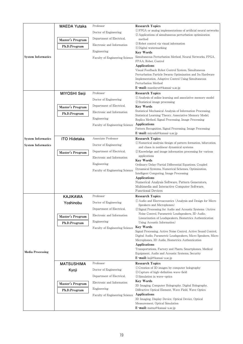|                           | <b>MAEDA Yutaka</b> | Professor                      | <b>Research Topics</b>                                                                                                          |
|---------------------------|---------------------|--------------------------------|---------------------------------------------------------------------------------------------------------------------------------|
|                           |                     | Doctor of Engineering          | (1) FPGA or analog implementations of artificial neural networks                                                                |
|                           |                     | Department of Electrical,      | (2) Applications of simultaneous perturbation optimization                                                                      |
|                           | Master's Program    |                                | method<br>3 Robot control via visual information                                                                                |
|                           | Ph.D.Program        | Electronic and Information     | 4 Digital watermarking                                                                                                          |
|                           |                     | Engineering                    | <b>Key Words</b>                                                                                                                |
| <b>System Informatics</b> |                     | Faculty of Engineering Science | Simultaneous Perturbation Method, Neural Networks, FPGA,<br>FPAA, Robot, Control                                                |
|                           |                     |                                | <b>Applications</b>                                                                                                             |
|                           |                     |                                | Visual Feedback Robot Control System, Simultaneous                                                                              |
|                           |                     |                                | Perturbation Particle Swarm Optimization and Its Hardware<br>Implementation, Adaptive Control Using Simultaneous                |
|                           |                     |                                | Perturbation Method                                                                                                             |
|                           |                     |                                | E-mail: maedayut@kansai-u.ac.jp                                                                                                 |
|                           | MIYOSHI Seiji       | Professor                      | <b>Research Topics</b>                                                                                                          |
|                           |                     | Doctor of Engineering          | (1) Analysis of online learning and associative memory model<br>2) Statistical image processing                                 |
|                           | Master's Program    | Department of Electrical,      | <b>Key Words</b>                                                                                                                |
|                           | Ph.D.Program        | Electronic and Information     | Statistical Mechanical Analysis of Information Processing,                                                                      |
|                           |                     | Engineering                    | Statistical Learning Theory, Associative Memory Model,                                                                          |
|                           |                     | Faculty of Engineering Science | Replica Method, Signal Processing, Image Processing<br><b>Applications</b>                                                      |
|                           |                     |                                | Pattern Recognition, Signal Processing, Image Processing                                                                        |
|                           |                     |                                | E-mail: miyoshi@kansai-u.ac.jp                                                                                                  |
| <b>System Informatics</b> | <b>ITO Hidetaka</b> | Associate Professor            | <b>Research Topics</b><br>1) Numerical analysis/design of pattern formation, bifurcation,                                       |
| <b>System Informatics</b> |                     | Doctor of Engineering          | and chaos in nonlinear dynamical systems                                                                                        |
|                           | Master's Program    | Department of Electrical,      | 2) Knowledge and image information processing for various                                                                       |
|                           |                     | Electronic and Information     | applications<br><b>Key Words</b>                                                                                                |
|                           |                     | Engineering                    | Ordinary/Delay/Partial Differential Equations, Coupled                                                                          |
|                           |                     | Faculty of Engineering Science | Dynamical Systems, Numerical Schemes, Optimization,                                                                             |
|                           |                     |                                | Intelligent Computing, Image Processing<br>Applications                                                                         |
|                           |                     |                                | Numerical Analysis Software, Pattern Generators,                                                                                |
|                           |                     |                                | Multimedia and Interactive Computer Software,                                                                                   |
|                           |                     |                                | <b>Functional Devices</b>                                                                                                       |
|                           | <b>KAJIKAWA</b>     | Professor                      | <b>Research Topics</b><br>1) Audio and Electroacoustics (Analysis and Design for Micro                                          |
|                           | Yoshinobu           | Doctor of Engineering          | Speakers and Microphones)                                                                                                       |
|                           |                     | Department of Electrical,      | 2 Signal Processing for Audio and Acoustic Systems (Active                                                                      |
|                           | Master's Program    | Electronic and Information     | Noise Control, Parametric Loudspeakers, 3D Audio,<br>Linearization of Loudspeakers, Biometrics Authentication                   |
|                           | Ph.D.Program        | Engineering                    | Using Acoustic Information)                                                                                                     |
|                           |                     | Faculty of Engineering Science | <b>Key Words</b>                                                                                                                |
|                           |                     |                                | Signal Processing, Active Noise Control, Active Sound Control,<br>Digital Audio, Parametric Loudspeakers, Micro Speakers, Micro |
|                           |                     |                                | Microphones, 3D Audio, Biometrics Authentication                                                                                |
|                           |                     |                                | Applications                                                                                                                    |
| <b>Media Processing</b>   |                     |                                | Transportations, Factory and Plants, Smartphones, Medical<br>Equipment, Audio and Acoustic Systems, Security                    |
|                           |                     |                                | <b>E-mail:</b> kaji@kansai-u.ac.jp                                                                                              |
|                           | <b>MATSUSHIMA</b>   | Professor                      | <b>Research Topics</b>                                                                                                          |
|                           | Kyoji               | Doctor of Engineering          | (1) Creation of 3D images by computer holography<br>2 Capture of high-definition wave-field                                     |
|                           |                     | Department of Electrical,      | 3) Simulation in wave-optics                                                                                                    |
|                           |                     | Electronic and Information     | <b>Key Words</b>                                                                                                                |
|                           | Master's Program    | Engineering                    | 3D Imaging, Computer Holography, Digital Holography,                                                                            |
|                           | Ph.D.Program        | Faculty of Engineering Science | Diffractive Optical Element, Wave Field, Wave Optics<br>Applications                                                            |
|                           |                     |                                | 3D Imaging, Display Device, Optical Device, Optical                                                                             |
|                           |                     |                                | Measurement, Optical Simulation                                                                                                 |
|                           |                     |                                | E-mail: matsu@kansai-u.ac.jp                                                                                                    |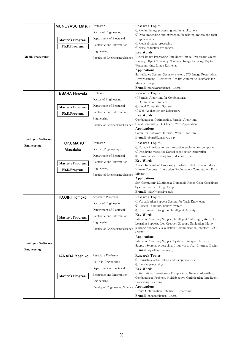|                             | MUNEYASU Mitsuji Professor |                                | <b>Research Topics</b>                                                           |
|-----------------------------|----------------------------|--------------------------------|----------------------------------------------------------------------------------|
|                             |                            | Doctor of Engineering          | 1) Moving image processing and its applications                                  |
|                             |                            |                                | 2 Data embedding and extraction for printed images and their                     |
|                             | <b>Master's Program</b>    | Department of Electrical,      | applications                                                                     |
|                             | Ph.D.Program               | Electronic and Information     | <b>3</b> Medical image processing<br>4) Noise reduction for images               |
|                             |                            | Engineering                    | <b>Key Words</b>                                                                 |
| <b>Media Processing</b>     |                            | Faculty of Engineering Science | Digital Image Processing, Intelligent Image Processing, Object                   |
|                             |                            |                                | Finding, Object Tracking, Nonlinear Image Filtering, Digital                     |
|                             |                            |                                | Watermarking, Image Retrieval                                                    |
|                             |                            |                                | Applications<br>Surveillance System, Security System, ITS, Image Restoration,    |
|                             |                            |                                | Advertisement, Augmented Reality, Automatic Diagnosis for                        |
|                             |                            |                                | Medical Image                                                                    |
|                             |                            |                                | E-mail: muneyasu@kansai-u.ac.jp                                                  |
|                             | <b>EBARA Hiroyuki</b>      | Professor                      | <b>Research Topics</b>                                                           |
|                             |                            | Doctor of Engineering          | 1 Parallel Algorithm for Combinatorial                                           |
|                             |                            | Department of Electrical,      | Optimization Problem<br>(2) Cloud Computing System                               |
|                             | Master's Program           |                                | 3 Web Application for Laboratory                                                 |
|                             | Ph.D.Program               | Electronic and Information     | <b>Key Words</b>                                                                 |
|                             |                            | Engineering                    | Combinatorial Optimization, Parallel Algorithm,                                  |
|                             |                            | Faculty of Engineering Science | Cloud Computing, PC Cluster, Web Application                                     |
|                             |                            |                                | <b>Applications</b><br>Computer, Software, Internet, Web, Algorithm              |
|                             |                            |                                | E-mail: ebara@kansai-u.ac.jp                                                     |
| <b>Intelligent Software</b> | <b>TOKUMARU</b>            | Professor                      | <b>Research Topics</b>                                                           |
| Engineering                 |                            | Doctor (Engineering)           | 1) Human interface for an interactive evolutionary computing                     |
|                             | Masataka                   |                                | 2) Intelligent model for Kansei robot action generation                          |
|                             |                            | Department of Electrical,      | 3) Kansei analysis using fuzzy decision tree                                     |
|                             | Master's Program           | Electronic and Information     | <b>Key Words</b><br>Kansei Information Processing, Partner Robot, Emotion Model, |
|                             | Ph.D.Program               | Engineering                    | Human Computer Interaction, Evolutionary Computation, Data                       |
|                             |                            | Faculty of Engineering Science | Mining                                                                           |
|                             |                            |                                | <b>Applications</b>                                                              |
|                             |                            |                                | Soft Computing, Multimedia, Humanoid Robot, Color Coordinate                     |
|                             |                            |                                | System, Product Design Support<br>E-mail: toku@kansai-u.ac.jp                    |
|                             | <b>KOJIRI Tomoko</b>       | Associate Professor            | <b>Research Topics</b>                                                           |
|                             |                            | Doctor of Engineering          | (1) Verbalization Support System for Tacit Knowledge                             |
|                             |                            |                                | 2 Logical Thinking Support System                                                |
|                             |                            | Department of Electrical,      | 3 Environment Design for Intelligent Activity                                    |
|                             | Master's Program           | Electronic and Information     | Key Words<br>Education/Learning Support, Intelligent Tutoring System, Skill      |
|                             |                            | Engineering                    | Learning Support, Idea Creation Support, Navigation, Meta-                       |
|                             |                            | Faculty of Engineering Science | learning Support, Visualization, Communication Interface, CSCL,                  |
|                             |                            |                                | CSCW                                                                             |
|                             |                            |                                | <b>Applications</b><br>Education/Learning Support System, Intelligent Activity   |
| <b>Intelligent Software</b> |                            |                                | Support System, e-Learning, Groupware, User Interface Design                     |
| Engineering                 |                            |                                | E-mail: kojiri@kansai-u.ac.jp                                                    |
|                             | <b>HANADA Yoshiko</b>      | Associate Professor            | <b>Research Topics</b>                                                           |
|                             |                            | Ph. D. in Engineering          | (1) Heuristics, optimization and its applications                                |
|                             |                            | Department of Electrical,      | 2 Parallel processing                                                            |
|                             |                            |                                | Key Words<br>Optimization, Evolutionary Computation, Genetic Algorithm,          |
|                             | Master's Program           | Electronic and Information     | Combinatorial Problem, Multiobjective Optimization, Intelligent                  |
|                             |                            | Engineering                    | Processing, Learning                                                             |
|                             |                            | Faculty of Engineering Science | <b>Applications</b>                                                              |
|                             |                            |                                | Design Optimization, Intelligent Processing                                      |
|                             |                            |                                | E-mail: hanada@kansai-u.ac.jp                                                    |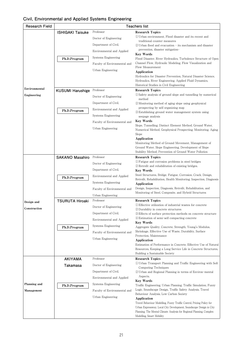## **Civil, Environmental and Applied Systems Engineering**

| <b>Research Field</b> | <b>Teachers list</b>    |                              |                                                                                                                            |
|-----------------------|-------------------------|------------------------------|----------------------------------------------------------------------------------------------------------------------------|
|                       | <b>ISHIGAKI Taisuke</b> | Professor                    | <b>Research Topics</b>                                                                                                     |
|                       |                         | Doctor of Engineering        | 1) Urban environment, Flood disaster and its recent and                                                                    |
|                       |                         | Department of Civil,         | traditional counter measures<br>2 Urban flood and evacuation - its mechanism and disaster                                  |
|                       |                         | Environmental and Applied    | prevention, disaster mitigation-                                                                                           |
|                       |                         | Systems Engineering          | <b>Key Words</b>                                                                                                           |
|                       | Ph.D.Program            | Faculty of Environmental and | Flood Disaster, River Hydraulics, Turbulence Structure of Open<br>Channel Flow, Hydraulic Modeling, Flow Visualization and |
|                       |                         | Urban Engineering            | Flow Measurement                                                                                                           |
|                       |                         |                              | Application                                                                                                                |
|                       |                         |                              | Hydraulics for Disaster Prevention, Natural Disaster Science,<br>Hydraulics, River Engineering, Applied Fluid Dynamics,    |
|                       |                         |                              | Historical Studies in Civil Engineering                                                                                    |
| Environmental         | <b>KUSUMI Harushige</b> | Professor                    | <b>Research Topics</b>                                                                                                     |
| Engineering           |                         | Doctor of Engineering        | (1) Safety analysis of ground slope and tunnelling by numerical<br>method                                                  |
|                       |                         | Department of Civil,         | 2 Monitoring method of aging slope using geophysical                                                                       |
|                       | Ph.D.Program            | Environmental and Applied    | prospecting by self organizing map                                                                                         |
|                       |                         | Systems Engineering          | 3) Establishing ground water management system using<br>seepage analysis                                                   |
|                       |                         | Faculty of Environmental and | <b>Key Words</b>                                                                                                           |
|                       |                         | Urban Engineering            | Slope, Tunnelling, Distinct Element Method, Ground Water,<br>Numerical Method, Geophysical Prospecting, Monitoring, Aging  |
|                       |                         |                              | Slope                                                                                                                      |
|                       |                         |                              | Application                                                                                                                |
|                       |                         |                              | Monitoring Method of Ground Movement, Management of<br>Ground Water, Slope Engineering, Development of Slope               |
|                       |                         |                              | Stability Method, Prevention of Ground Water Pollution                                                                     |
|                       | <b>SAKANO Masahiro</b>  | Professor                    | <b>Research Topics</b>                                                                                                     |
|                       |                         | Doctor of Engineering        | (1) Fatigue and corrosion problems in steel bridges                                                                        |
|                       |                         | Department of Civil,         | 2) Retrofit and rehabilitation of existing bridges.<br><b>Key Words</b>                                                    |
|                       | Ph.D.Program            | Environmental and Applied    | Steel Structures, Bridge, Fatigue, Corrosion, Crack, Design,                                                               |
|                       |                         | Systems Engineering          | Retrofit, Rehabilitation, Health Monitoring, Inspection, Diagnosis<br>Application                                          |
|                       |                         | Faculty of Environmental and | Design, Inspection, Diagnosis, Retrofit, Rehabilitation, and                                                               |
|                       |                         | Urban Engineering            | Monitoring of Steel, Composite, and Hybrid Structures                                                                      |
| Design and            | <b>TSURUTA Hiroaki</b>  | Professor                    | <b>Research Topics</b>                                                                                                     |
| Construction          |                         | Doctor of Engineering        | 1) Effective utilization of industrial wastes for concrete                                                                 |
|                       |                         | Department of Civil,         | 2) Durability in concrete structures<br>3) Effects of surface protection methods on concrete structure                     |
|                       |                         | Environmental and Applied    | 4) Estimation of semi-self compacting concrete                                                                             |
|                       |                         | Systems Engineering          | <b>Key Words</b><br>Aggregate Quality, Concrete, Strength, Young's Modulus,                                                |
|                       | Ph.D.Program            | Faculty of Environmental and | Shrinkage, Effective Use of Waste, Durability, Surface                                                                     |
|                       |                         | Urban Engineering            | Protection, Maintenance                                                                                                    |
|                       |                         |                              | Application<br>Estimation of Performance in Concrete, Effective Use of Natural                                             |
|                       |                         |                              | Resources, Keeping a Long Service Life in Concrete Structures,                                                             |
|                       |                         |                              | Building a Sustainable Society                                                                                             |
|                       | <b>AKIYAMA</b>          | Professor                    | <b>Research Topics</b><br>(1) Urban Transport Planning and Traffic Engineering with Soft                                   |
|                       | Takamasa                | Doctor of Engineering        | Computing Techniques                                                                                                       |
|                       |                         | Department of Civil,         | 2 Urban and Regional Planning in terms of Environ-mental                                                                   |
|                       |                         | Environmental and Applied    | Aspects.<br><b>Key Words</b>                                                                                               |
| Planning and          | Ph.D.Program            | Systems Engineering          | Traffic Engineering, Urban Planning, Traffic Simulation, Fuzzy                                                             |
| Management            |                         | Faculty of Environmental and | Logic, Soundscape Design, Traffic Safety Analysis, Travel                                                                  |
|                       |                         | Urban Engineering            | Behaviour Analysis, Low Carbon Society<br>Application                                                                      |
|                       |                         |                              | Travel Behaviour Modelling, Fuzzy Traffic Control, Pricing Policy for                                                      |
|                       |                         |                              | Urban Expressway, Local City Development, Soundscape Design in City                                                        |
|                       |                         |                              | Planning, The Mental Climate Analysis for Regional Planning, Complex<br>Modelling, Smart Mobility                          |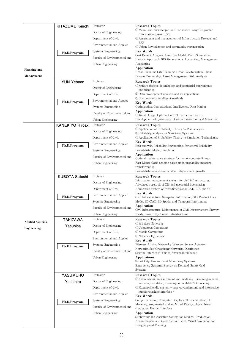| Planning and<br>Management | <b>KITAZUME Keiichi</b><br>Ph.D.Program<br><b>YUN Yeboon</b> | Professor<br>Doctor of Engineering<br>Department of Civil,<br>Environmental and Applied<br>Systems Engineering<br>Faculty of Environmental and<br>Urban Engineering<br>Professor | <b>Research Topics</b><br>1) Meso- and microscopic land-use model using Geographic<br>Information System (GIS)<br>2 Assessment and management of Infrastructure Projects and<br>PPP<br>3 Urban Revitalization and community regeneration<br><b>Key Words</b><br>Cost Benefit Analysis, Land-use Model, Micro Simulation,<br>Hedonic Approach, GIS, Generational Accounting, Management<br>Accounting<br>Application<br>Urban Planning, City Planning, Urban Revitalization, Public<br>Private Partnership, Asset Management, Risk Analysis<br><b>Research Topics</b> |
|----------------------------|--------------------------------------------------------------|----------------------------------------------------------------------------------------------------------------------------------------------------------------------------------|----------------------------------------------------------------------------------------------------------------------------------------------------------------------------------------------------------------------------------------------------------------------------------------------------------------------------------------------------------------------------------------------------------------------------------------------------------------------------------------------------------------------------------------------------------------------|
|                            |                                                              | Doctor of Engineering                                                                                                                                                            | 1) Multi-objective optimization and sequential approximate                                                                                                                                                                                                                                                                                                                                                                                                                                                                                                           |
|                            |                                                              | Department of Civil,                                                                                                                                                             | optimization<br>2) Data envelopment analysis and its applications                                                                                                                                                                                                                                                                                                                                                                                                                                                                                                    |
|                            |                                                              |                                                                                                                                                                                  | <b>3</b> Computational intelligent methods                                                                                                                                                                                                                                                                                                                                                                                                                                                                                                                           |
|                            | Ph.D.Program                                                 | Environmental and Applied                                                                                                                                                        | Key Words                                                                                                                                                                                                                                                                                                                                                                                                                                                                                                                                                            |
|                            |                                                              | Systems Engineering                                                                                                                                                              | Optimization, Computational Intelligence, Data Mining<br>Application                                                                                                                                                                                                                                                                                                                                                                                                                                                                                                 |
|                            |                                                              | Faculty of Environmental and                                                                                                                                                     | Optimal Design, Optimal Control, Predictive Control,                                                                                                                                                                                                                                                                                                                                                                                                                                                                                                                 |
|                            | <b>KANEKIYO Hiroaki</b>                                      | Urban Engineering<br>Professor                                                                                                                                                   | Development of Systems on Disaster Prevention and Measures<br><b>Research Topics</b>                                                                                                                                                                                                                                                                                                                                                                                                                                                                                 |
|                            |                                                              | Doctor of Engineering                                                                                                                                                            | 1 Application of Probability Theory to Risk analysis                                                                                                                                                                                                                                                                                                                                                                                                                                                                                                                 |
|                            |                                                              | Department of Civil,                                                                                                                                                             | 2) Reliability analysis for Structural Systems<br>3) Application of Probability Theory to Simulation Technologies                                                                                                                                                                                                                                                                                                                                                                                                                                                    |
|                            |                                                              | Environmental and Applied                                                                                                                                                        | Key Words                                                                                                                                                                                                                                                                                                                                                                                                                                                                                                                                                            |
|                            | Ph.D.Program                                                 | Systems Engineering                                                                                                                                                              | Risk analysis, Reliability Engineering, Structural Reliability,<br>Probabilistic Model, Simulation                                                                                                                                                                                                                                                                                                                                                                                                                                                                   |
|                            |                                                              | Faculty of Environmental and                                                                                                                                                     | Application                                                                                                                                                                                                                                                                                                                                                                                                                                                                                                                                                          |
|                            |                                                              | Urban Engineering                                                                                                                                                                | Optimal maintenance strategy for tunnel concrete linings<br>Fast Monte Carlo scheme based upon probability measure                                                                                                                                                                                                                                                                                                                                                                                                                                                   |
|                            |                                                              |                                                                                                                                                                                  | transformation                                                                                                                                                                                                                                                                                                                                                                                                                                                                                                                                                       |
|                            |                                                              |                                                                                                                                                                                  | Probabilistic analysis of random fatigue crack growth                                                                                                                                                                                                                                                                                                                                                                                                                                                                                                                |
|                            | <b>KUBOTA Satoshi</b>                                        | Professor                                                                                                                                                                        | <b>Research Topics</b>                                                                                                                                                                                                                                                                                                                                                                                                                                                                                                                                               |
|                            |                                                              |                                                                                                                                                                                  | Information management system for civil infrastructures,                                                                                                                                                                                                                                                                                                                                                                                                                                                                                                             |
|                            |                                                              | Doctor of Engineering                                                                                                                                                            | Advanced research of GIS and geospatial information,                                                                                                                                                                                                                                                                                                                                                                                                                                                                                                                 |
|                            |                                                              | Department of Civil,                                                                                                                                                             | Application system of threedimensional CAD, GIS, and CG<br>Key Words                                                                                                                                                                                                                                                                                                                                                                                                                                                                                                 |
|                            | Ph.D.Program                                                 | Environmental and Applied                                                                                                                                                        | Civil Infrastructure, Geospatial Information, GIS, Product Data                                                                                                                                                                                                                                                                                                                                                                                                                                                                                                      |
|                            |                                                              | Systems Engineering                                                                                                                                                              | Model, 3D-CAD, 3D Spatial and Temporal Information<br>Application                                                                                                                                                                                                                                                                                                                                                                                                                                                                                                    |
|                            |                                                              | Faculty of Environmental and                                                                                                                                                     | Civil Infrastructure, Maintenance of Civil Infrastructure, Survey                                                                                                                                                                                                                                                                                                                                                                                                                                                                                                    |
|                            |                                                              | Urban Engineering<br>Professor                                                                                                                                                   | Fields, Smart City, Smart Infrastructure<br><b>Research Topics</b>                                                                                                                                                                                                                                                                                                                                                                                                                                                                                                   |
| <b>Applied Systems</b>     | <b>TAKIZAWA</b>                                              | Doctor of Engineering                                                                                                                                                            | (1) Wireless Networks                                                                                                                                                                                                                                                                                                                                                                                                                                                                                                                                                |
| Engineering                | Yasuhisa                                                     | Department of Civil,                                                                                                                                                             | (2) Ubiquitous Computing<br>3 Mobile Computing                                                                                                                                                                                                                                                                                                                                                                                                                                                                                                                       |
|                            |                                                              | Environmental and Applied                                                                                                                                                        | 4) Network Dynamics                                                                                                                                                                                                                                                                                                                                                                                                                                                                                                                                                  |
|                            |                                                              | Systems Engineering                                                                                                                                                              | <b>Key Words</b><br>Wireless Ad-hoc Networks, Wireless Sensor Actuator                                                                                                                                                                                                                                                                                                                                                                                                                                                                                               |
|                            | Ph.D.Program                                                 | Faculty of Environmental and                                                                                                                                                     | Networks, Self Organizing Networks, Distributed                                                                                                                                                                                                                                                                                                                                                                                                                                                                                                                      |
|                            |                                                              | Urban Engineering                                                                                                                                                                | System, Internet of Things, Swarm Intelligence<br><b>Applications</b>                                                                                                                                                                                                                                                                                                                                                                                                                                                                                                |
|                            |                                                              |                                                                                                                                                                                  | Smart City, Environment Monitoring Systems,                                                                                                                                                                                                                                                                                                                                                                                                                                                                                                                          |
|                            |                                                              |                                                                                                                                                                                  | Emergency Systems, Energy on Demand, Smart Grid<br>Systems                                                                                                                                                                                                                                                                                                                                                                                                                                                                                                           |
|                            | <b>YASUMURO</b>                                              | Professor                                                                                                                                                                        | <b>Research Topics</b>                                                                                                                                                                                                                                                                                                                                                                                                                                                                                                                                               |
|                            | Yoshihiro                                                    | Doctor of Engineering                                                                                                                                                            | (1) 3 dimensional measurement and modeling - scanning scheme<br>and adaptive data processing for scalable 3D modeling -                                                                                                                                                                                                                                                                                                                                                                                                                                              |
|                            |                                                              | Department of Civil,                                                                                                                                                             | (2) Human-friendly system - easy-to-understand and interactive                                                                                                                                                                                                                                                                                                                                                                                                                                                                                                       |
|                            |                                                              | Environmental and Applied                                                                                                                                                        | human-machine interface -<br>Key Words                                                                                                                                                                                                                                                                                                                                                                                                                                                                                                                               |
|                            | Ph.D.Program                                                 | Systems Engineering                                                                                                                                                              | Computer Vision, Computer Graphics, 3D visualization, 3D                                                                                                                                                                                                                                                                                                                                                                                                                                                                                                             |
|                            |                                                              | Faculty of Environmental and                                                                                                                                                     | Modeling, Augmented and/or Mixed Reality, physic-based<br>simulation, Human Interface                                                                                                                                                                                                                                                                                                                                                                                                                                                                                |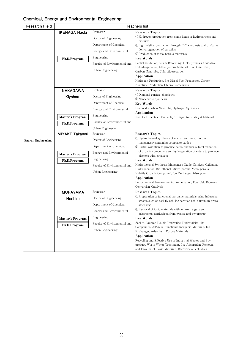## **Chemical, Energy and Environmental Engineering**

| <b>Research Field</b>     |                        | <b>Teachers list</b>         |                                                                                                                              |  |
|---------------------------|------------------------|------------------------------|------------------------------------------------------------------------------------------------------------------------------|--|
|                           | <b>IKENAGA Naoki</b>   | Professor                    | <b>Research Topics</b>                                                                                                       |  |
|                           |                        | Doctor of Engineering        | (1) Hydrogen production from some kinds of hydrocarbons and                                                                  |  |
|                           |                        | Department of Chemical,      | bio fuels<br>2) Light olefins production through F-T synthesis and oxidative                                                 |  |
|                           |                        | Energy and Environmental     | dehydrogenation of paraffins                                                                                                 |  |
|                           |                        | Engineering                  | 3) Production of meso-porous materials                                                                                       |  |
|                           | Ph.D.Program           |                              | <b>Key Words</b><br>Partial Oxidation, Steam Reforming, F-T Synthesis, Oxidative                                             |  |
|                           |                        | Faculty of Environmental and | Dehydrogenation, Meso-porous Material, Bio Diesel Fuel,                                                                      |  |
|                           |                        | Urban Engineering            | Carbon Nanotube, Chlorofluorocarbon                                                                                          |  |
|                           |                        |                              | Application<br>Hydrogen Production, Bio Diesel Fuel Production, Carbon                                                       |  |
|                           |                        |                              | Nanotube Production, Chlorofluorocarbon                                                                                      |  |
|                           | <b>NAKAGAWA</b>        | Professor                    | <b>Research Topics</b>                                                                                                       |  |
|                           | Kiyoharu               | Doctor of Engineering        | (1) Diamond surface chemistry.                                                                                               |  |
|                           |                        | Department of Chemical,      | (2) Nanocarbon synthesis.<br><b>Key Words</b>                                                                                |  |
|                           |                        | Energy and Environmental     | Diamond, Carbon Nanotube, Hydrogen Synthesis                                                                                 |  |
|                           |                        |                              | Application                                                                                                                  |  |
|                           | Master's Program       | Engineering                  | Fuel Cell, Electric Double-layer Capacitor, Catalyst Material                                                                |  |
|                           | Ph.D.Program           | Faculty of Environmental and |                                                                                                                              |  |
|                           |                        | Urban Engineering            |                                                                                                                              |  |
|                           | <b>MIYAKE Takanori</b> | Professor                    | <b>Research Topics</b><br>(1) Hydrothermal synthesis of micro- and meso-porous                                               |  |
| <b>Energy Engineering</b> |                        | Doctor of Engineering        | manganese-containing composite oxides                                                                                        |  |
|                           |                        | Department of Chemical,      | (2) Partial oxidation to produce petro-chemicals, total oxidation                                                            |  |
|                           | Master's Program       | Energy and Environmental     | of organic compounds and hydrogenation of esters to produce<br>alcohols with catalysts                                       |  |
|                           | Ph.D.Program           | Engineering                  | <b>Key Words</b>                                                                                                             |  |
|                           |                        | Faculty of Environmental and | Hydrothermal Synthesis, Manganese Oxide, Catalyst, Oxidation,                                                                |  |
|                           |                        | Urban Engineering            | Hydrogenation, Bio-ethanol, Micro-porous, Meso-porous,<br>Volatile Organic Compound, Ion Exchange, Adsorption                |  |
|                           |                        |                              | Application                                                                                                                  |  |
|                           |                        |                              | Petrochemical, Environmental Remediation, Fuel Cell, Biomass                                                                 |  |
|                           | <b>MURAYAMA</b>        | Professor                    | Conversion, Catalysis<br><b>Research Topics</b>                                                                              |  |
|                           |                        | Doctor of Engineering        | <sup>1</sup> DPreparation of functional inorganic materials using industrial                                                 |  |
|                           | Norihiro               |                              | wastes such as coal fly ash, incineration ash, aluminum dross,                                                               |  |
|                           |                        | Department of Chemical,      | steel slag<br>2 Removal of toxic materials with ion exchangers and                                                           |  |
|                           |                        | Energy and Environmental     | adsorbents synthesized from wastes and by-product                                                                            |  |
|                           | Master's Program       | Engineering                  | <b>Key Words</b>                                                                                                             |  |
|                           | Ph.D.Program           | Faculty of Environmental and | Zeolite, Layered Double Hydroxide, Hydrotalcite-like<br>Compounds, AlPO <sub>4</sub> -n, Functional Inorganic Materials, Ion |  |
|                           |                        | Urban Engineering            | Exchanger, Adsorbent, Porous Materials                                                                                       |  |
|                           |                        |                              | Application                                                                                                                  |  |
|                           |                        |                              | Recycling and Effective Use of Industrial Wastes and By-<br>product, Waste Water Treatment, Gas Adsorption, Removal          |  |
|                           |                        |                              | and Fixation of Toxic Materials, Recovery of Valuables                                                                       |  |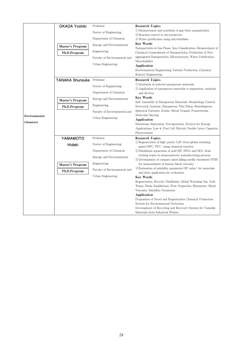|               | <b>OKADA Yoshiki</b>    | Professor                    | <b>Research Topics</b>                                                                                                        |
|---------------|-------------------------|------------------------------|-------------------------------------------------------------------------------------------------------------------------------|
|               |                         |                              | 1) Measurement and synthesis of gas-born nanoparticles                                                                        |
|               |                         | Doctor of Engineering        | 2 Reaction control in microreactors                                                                                           |
|               |                         | Department of Chemical,      | (3) Water purification using microbubbles                                                                                     |
|               | Master's Program        | Energy and Environmental     | <b>Key Words</b>                                                                                                              |
|               |                         | Engineering                  | Nanoparticles in Gas Phase, Size Classification, Measurement of<br>Chemical Compositions of Nanoparticles, Production of Non- |
|               | Ph.D.Program            | Faculty of Environmental and | aggregated Nanoparticles, Microreactors, Water Purification,                                                                  |
|               |                         |                              | Microbubbles                                                                                                                  |
|               |                         | Urban Engineering            | Application                                                                                                                   |
|               |                         |                              | Environmental Engineering, Particle Production, Chemical                                                                      |
|               |                         |                              | Reactor Engineering                                                                                                           |
|               | <b>TANAKA Shunsuke</b>  | Professor                    | <b>Research Topics</b>                                                                                                        |
|               |                         | Doctor of Engineering        | 1 Synthesis of ordered nanoporous materials<br>(2) Application of nanoporous materials to separation, catalysis,              |
|               |                         | Department of Chemical,      | and devices                                                                                                                   |
|               |                         | Energy and Environmental     | <b>Key Words</b>                                                                                                              |
|               | <b>Master's Program</b> |                              | Self-Assembly of Nanoporous Materials, Morphology Control,                                                                    |
|               | Ph.D.Program            | Engineering                  | Structural Analysis, Nanoporous Thin Films, Monodisperse                                                                      |
|               |                         | Faculty of Environmental and | Spherical Particles, Zeolite, Metal-Organic Frameworks,<br>Molecular Sieving                                                  |
| Environmental |                         | Urban Engineering            | Application                                                                                                                   |
| Chemistry     |                         |                              | Membrane Separation, Pervaporation, Devices for Energy                                                                        |
|               |                         |                              | Applications, Low-k, Fuel Cell, Electric Double Layer Capacitor,                                                              |
|               |                         |                              | Photocatalyst                                                                                                                 |
|               | YAMAMOTO                | Professor                    | <b>Research Topics</b>                                                                                                        |
|               | Hideki                  | Doctor of Engineering        | $\Omega$ Regeneration of high-purity CaF <sub>2</sub> from global warming<br>gases (HFC, PFC) using chemical reaction         |
|               |                         | Department of Chemical,      | 2 Distillation separation of acid (HF, HNO <sub>3</sub> and HCl) from                                                         |
|               |                         | Energy and Environmental     | etching waste in semiconductor manufacturing process<br>3 Development of compact sized falling needle rheometer (FNR)         |
|               | Master's Program        | Engineering                  | for measurement of human blood viscosity                                                                                      |
|               | Ph.D.Program            | Faculty of Environmental and | 4) Estimation of solubility parameter (SP value) for materials<br>and their application for evaluation                        |
|               |                         | Urban Engineering            | <b>Key Words</b>                                                                                                              |
|               |                         |                              | Regeneration, Recycle, Distillation, Global Warming Gas, Acid                                                                 |
|               |                         |                              | Waste, Phase Equilibrium, Flow Properties, Rheometer, Blood                                                                   |
|               |                         |                              | Viscosity, Solubility Parameter<br>Application                                                                                |
|               |                         |                              | Proposition of Novel and Regenerative Chemical Production                                                                     |
|               |                         |                              | System for Environmental Protection                                                                                           |
|               |                         |                              | Development of Recycling and Recovery System for Valuable                                                                     |
|               |                         |                              | Materials from Industrial Wastes                                                                                              |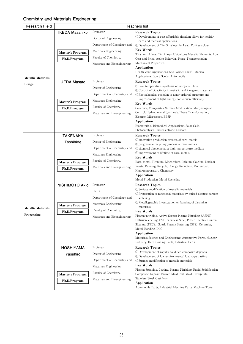## **Chemistry and Materials Engineering**

| <b>Research Field</b>     | <b>Teachers list</b>  |                              |                                                                                                                              |  |
|---------------------------|-----------------------|------------------------------|------------------------------------------------------------------------------------------------------------------------------|--|
|                           | <b>IKEDA Masahiko</b> | Professor                    | <b>Research Topics</b>                                                                                                       |  |
|                           |                       | Doctor of Engineering        | (1) Development of cost affordable titanium alloys for health-                                                               |  |
|                           |                       | Department of Chemistry and  | care and medical applications<br>(2) Development of Tin, Sn alloys for Lead, Pb free solder                                  |  |
|                           |                       |                              | <b>Key Words</b>                                                                                                             |  |
|                           | Master's Program      | Materials Engineering        | Titanium Alloys, Tin Alloys, Ubiquitous Metallic Elements, Low                                                               |  |
|                           | Ph.D.Program          | Faculty of Chemistry,        | Cost and Price, Aging Behavior, Phase Transformation,                                                                        |  |
|                           |                       | Materials and Bioengineering | Mechanical Properties                                                                                                        |  |
|                           |                       |                              | Application<br>Health-care Applications (e.g. Wheel-chair), Medical                                                          |  |
| <b>Metallic Materials</b> |                       |                              | Applications, Sport Goods, Automobile                                                                                        |  |
|                           | <b>UEDA Masato</b>    | Professor                    | <b>Research Topics</b>                                                                                                       |  |
| Design                    |                       | Doctor of Engineering        | (1) Low temperature synthesis of inorganic films.                                                                            |  |
|                           |                       | Department of Chemistry and  | 2) Control of bioactivity in metallic and inorganic materials.                                                               |  |
|                           |                       |                              | 3) Photochemical reaction in nano-ordered structure and<br>improvement of light energy conversion efficiency.                |  |
|                           | Master's Program      | Materials Engineering        | <b>Key Words</b>                                                                                                             |  |
|                           | Ph.D.Program          | Faculty of Chemistry,        | Ceramics, Composites, Surface Modification, Morphological                                                                    |  |
|                           |                       | Materials and Bioengineering | Control, Hydrothermal Synthesis, Phase Transformation,                                                                       |  |
|                           |                       |                              | Electron Microscope, EBSP<br>Application                                                                                     |  |
|                           |                       |                              | Biomaterials, Biomedical Applications, Solar Cells,                                                                          |  |
|                           |                       |                              | Photocatalysts, Photoelectrode, Sensors                                                                                      |  |
|                           | <b>TAKENAKA</b>       | Professor                    | <b>Research Topics</b>                                                                                                       |  |
|                           | Toshihide             | Doctor of Engineering        | 10 innovative production process of rare-metals                                                                              |  |
|                           |                       | Department of Chemistry and  | 2) progressive recycling process of rare-metals<br>3) chemical phenomena in high temperature medium                          |  |
|                           |                       | Materials Engineering        | 4) improvement of lifetime of rare-metals                                                                                    |  |
|                           |                       |                              | <b>Key Words</b>                                                                                                             |  |
|                           | Master's Program      | Faculty of Chemistry,        | Rare-metal, Titanium, Magnesium, Lithium, Calcium, Nuclear                                                                   |  |
|                           | Ph.D.Program          | Materials and Bioengineering | Waste, Refining, Recycle, Energy Reduction, Molten Salt,<br>High-temperature Chemistry                                       |  |
|                           |                       |                              | Application                                                                                                                  |  |
|                           |                       |                              | Metal Production, Metal Recycling                                                                                            |  |
|                           | <b>NISHIMOTO Akio</b> | Professor                    | <b>Research Topics</b>                                                                                                       |  |
|                           |                       | Ph. D.                       | (1) Surface modification of metallic materials                                                                               |  |
|                           |                       | Department of Chemistry and  | 2 Preparation of functional materials by pulsed electric current<br>sintering                                                |  |
|                           |                       |                              | 3) Metallographic investigation on bonding of dissimilar                                                                     |  |
| <b>Metallic Materials</b> | Master's Program      | Materials Engineering        | materials                                                                                                                    |  |
| Proccessing               | Ph.D.Program          | Faculty of Chemistry,        | <b>Key Words</b>                                                                                                             |  |
|                           |                       | Materials and Bioengineering | Plasma-nitriding, Active Screen Plasma Nitriding (ASPN),<br>Diffusion-coating, CVD, Stainless Steel, Pulsed Electric Current |  |
|                           |                       |                              | Sitering (PECS), Spark Plasma Sintering (SPS), Ceramics,                                                                     |  |
|                           |                       |                              | Metal, Bonding, DLC                                                                                                          |  |
|                           |                       |                              | Application                                                                                                                  |  |
|                           |                       |                              | Materials Science and Engineering, Automotive Parts, Nuclear<br>Industry, Hard Coating Parts, Industrial Parts               |  |
|                           | <b>HOSHIYAMA</b>      | Professor                    | <b>Research Topics</b>                                                                                                       |  |
|                           |                       |                              | 1) Development of rapidly solidified composite deposits                                                                      |  |
|                           | Yasuhiro              | Doctor of Engineering        | 2) Development of low environmental load type casting                                                                        |  |
|                           |                       | Department of Chemistry and  | 3) Surface modification of metallic materials                                                                                |  |
|                           |                       | Materials Engineering        | <b>Key Words</b><br>Plasma Spraying, Casting, Plasma Nitriding, Rapid Solidification,                                        |  |
|                           | Master's Program      | Faculty of Chemistry,        | Composite Deposit, Frozen Mold, Full Mold, Precipitate,                                                                      |  |
|                           | Ph.D.Program          | Materials and Bioengineering | Stainless Steel, Cast Iron                                                                                                   |  |
|                           |                       |                              | Application                                                                                                                  |  |
|                           |                       |                              | Automobile Parts, Industrial Machine Parts, Machine Tools                                                                    |  |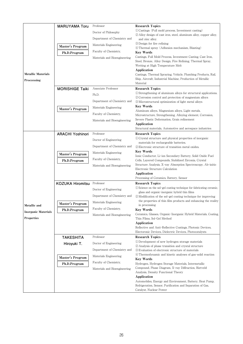|                                          | MARUYAMA Toru           | Professor                    | <b>Research Topics</b>                                                                                                    |
|------------------------------------------|-------------------------|------------------------------|---------------------------------------------------------------------------------------------------------------------------|
|                                          |                         | Doctor of Philosophy         | (1) Castings (Full mold process, Investment casting)<br>2 Alloy design of cast iron, steel, aluminum alloy, copper alloy, |
|                                          |                         | Department of Chemistry and  | and zinc alloy.                                                                                                           |
|                                          | Master's Program        | Materials Engineering        | 3) Design for fire refining                                                                                               |
|                                          | Ph.D.Program            | Faculty of Chemistry,        | 4) Thermal spray (Adhesion mechanism, Blasting)<br><b>Key Words</b>                                                       |
|                                          |                         | Materials and Bioengineering | Castings, Full Mold Process, Investment Casting, Cast Iron,                                                               |
|                                          |                         |                              | Steel, Bronze, Alloy Design, Fire Refining, Thermal Spray,                                                                |
|                                          |                         |                              | Wetting at High Temperature Melt<br>Application                                                                           |
| <b>Metallic Materials</b>                |                         |                              | Castings, Thermal Spraying, Vehicle, Plumbing Products, Rail,                                                             |
| Proccessing                              |                         |                              | Ship, Aircraft, Industrial Machine, Production of Metallic<br>Material                                                    |
|                                          | <b>MORISHIGE Taiki</b>  | Associate Professor          | <b>Research Topics</b>                                                                                                    |
|                                          |                         | Ph.D.                        | (1) Strengthening of aluminum alloys for structural applications.                                                         |
|                                          |                         | Department of Chemistry and  | 2 Corrosion control and protection of magnesium alloys<br><b>3</b> Microstructural optimization of light metal alloys     |
|                                          |                         | Materials Engineering        | <b>Key Words</b>                                                                                                          |
|                                          | Master's Program        |                              | Aluminum alloys, Magnesium alloys, Light metals,                                                                          |
|                                          |                         | Faculty of Chemistry.        | Microstructure, Strengthening, Alloying element, Corrosion,<br>Severe Plastic Deformation, Grain refinement               |
|                                          |                         | Materials and Bioengineering | Application                                                                                                               |
|                                          |                         |                              | Structural materials, Automotive and aerospace industries                                                                 |
|                                          | <b>ARACHI Yoshinori</b> | Professor                    | <b>Research Topics</b><br>(1) Crystal structure and physical properties of inorganic                                      |
|                                          |                         | Doctor of Engineering        | materials for rechargeable batteries.                                                                                     |
|                                          |                         | Department of Chemistry and  | (2) Electronic structure of transition metal oxides.                                                                      |
|                                          | Master's Program        | Materials Engineering        | <b>Key Words</b><br>Ionic Conductor, Li-ion Secondary Battery, Solid Oxide Fuel                                           |
|                                          | Ph.D.Program            | Faculty of Chemistry,        | Cells, Layered Compounds, Stabilized Zirconia, Crystal                                                                    |
|                                          |                         | Materials and Bioengineering | Structure Analysis, X-ray Absorption Spectroscopy, Ab-initio<br>Electronic Structure Calculation                          |
|                                          |                         |                              | Application                                                                                                               |
|                                          |                         |                              | Processing of Ceramics, Battery, Sensor                                                                                   |
|                                          | <b>KOZUKA Hiromitsu</b> | Professor                    | <b>Research Topics</b>                                                                                                    |
|                                          |                         | Doctor of Engineering        | (1) Science on the sol-gel coating technique for fabricating ceramic,<br>glass and organic-inorganic hybrid thin films    |
|                                          |                         | Department of Chemistry and  | 2) Modification of the sol-gel coating technique for improving                                                            |
| Metallic and                             | Master's Program        | Materials Engineering        | the properties of thin film products and enhancing the reality<br>in processing                                           |
|                                          | Ph.D.Program            | Faculty of Chemistry,        | <b>Key Words</b>                                                                                                          |
| <b>Inorganic Materials</b><br>Properties |                         | Materials and Bioengineering | Ceramics, Glasses, Organic-Inorganic Hybrid Materials, Coating,                                                           |
|                                          |                         |                              | Thin Films, Sol-Gel Method<br>Application                                                                                 |
|                                          |                         |                              | Reflective and Anti-Reflective Coatings, Photonic Devices,                                                                |
|                                          |                         |                              | Electoronic Devices, Dielectric Devices, Photocatalysts                                                                   |
|                                          | <b>TAKESHITA</b>        | Professor                    | <b>Research Topics</b><br>1) Development of new hydrogen storage materials                                                |
|                                          | Hiroyuki T.             | Doctor of Engineering        | 2 Analysis of phase transition and crystal structure                                                                      |
|                                          |                         | Department of Chemistry and  | 3) Evaluation of electronic structure of materials<br>4 Thermodynamic and kinetic analyses of gas-solid reaction          |
|                                          | Master's Program        | Materials Engineering        | <b>Key Words</b>                                                                                                          |
|                                          | Ph.D.Program            | Faculty of Chemistry,        | Hydrogen, Hydrogen Storage Materials, Intermetallic                                                                       |
|                                          |                         | Materials and Bioengineering | Compound, Phase Diagram, X-ray Diffraction, Rietveld<br>Analysis, Density Functional Theory                               |
|                                          |                         |                              | Application                                                                                                               |
|                                          |                         |                              | Automobiles, Energy and Environment, Battery, Heat Pump,                                                                  |
|                                          |                         |                              | Refrigeration, Sensor, Purification and Separation of Gas,<br>Catalyst, Nuclear Power                                     |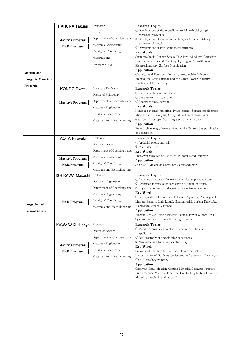|                            |                         | Professor                    | <b>Research Topics</b>                                                                                                       |
|----------------------------|-------------------------|------------------------------|------------------------------------------------------------------------------------------------------------------------------|
|                            | <b>HARUNA Takumi</b>    |                              | (1) Development of the metallic materials exhibiting high                                                                    |
|                            |                         | Ph. D.                       | corrosion resistance                                                                                                         |
|                            | Master's Program        | Department of Chemistry and  | 2) Development of evaluation techniques for susceptibility to                                                                |
|                            |                         | Materials Engineering        | corrosion of metals                                                                                                          |
|                            | Ph.D.Program            |                              | 3 Development of intelligent metal surfaces                                                                                  |
|                            |                         | Faculty of Chemistry.        | <b>Key Words</b>                                                                                                             |
|                            |                         | Materials and                | Stainless Steels, Carbon Steels, Ti Alloys, Al Alloys, Corrosion,                                                            |
|                            |                         | Bioengineering               | Environment-assisted Cracking, Hydrogen Embrittlement,                                                                       |
|                            |                         |                              | Electrochemistry, Surface Modification<br>Application                                                                        |
| Metallic and               |                         |                              | Chemical and Petroleum Industry, Automobile Industry,                                                                        |
| <b>Inorganic Materials</b> |                         |                              | Medical Industry, Nuclear and the Other Power Industry,                                                                      |
|                            |                         |                              | Electric and IT Industry                                                                                                     |
| <b>Properties</b>          | <b>KONDO Ryota</b>      | Associate Professor          | <b>Research Topics</b>                                                                                                       |
|                            |                         | Doctor of Philosophy         | <b>UHydrogen</b> storage materials                                                                                           |
|                            |                         |                              | (2) Catalyst for hydrogenation                                                                                               |
|                            | Master's Program        | Department of Chemistry and  | 3 Energy storage system                                                                                                      |
|                            |                         | Materials Engineering        | <b>Key Words</b>                                                                                                             |
|                            |                         | Faculty of Chemistry.        | Hydrogen storage materials, Phase control, Surface modification,<br>Microstructure analysis, X-ray diffraction, Transmission |
|                            |                         | Materials and Bioengineering | electron microscopy, Scanning electron microscopy                                                                            |
|                            |                         |                              | Application                                                                                                                  |
|                            |                         |                              | Renewable energy, Battery, Automobile, Sensor, Gas purification                                                              |
|                            |                         |                              | or separation                                                                                                                |
|                            | <b>AOTA Hiroyuki</b>    | Professor                    | <b>Research Topics</b>                                                                                                       |
|                            |                         | Doctor of Science            | 1 Artificial photosynthesis                                                                                                  |
|                            |                         | Department of Chemistry and  | (2) Molecular wire                                                                                                           |
|                            |                         |                              | <b>Key Words</b><br>Photosynthesis, Molecular Wire, Pi-conjugated Polymer                                                    |
|                            | Master's Program        | Materials Engineering        | Application                                                                                                                  |
|                            | Ph.D.Program            | Faculty of Chemistry,        | Solar Cell, Molecular Computer, Semiconductor                                                                                |
|                            |                         | Materials and Bioengineering |                                                                                                                              |
|                            | <b>ISHIKAWA Masashi</b> | Professor                    | <b>Research Topics</b>                                                                                                       |
|                            |                         | Doctor of Engineering        | 1) Advanced materials for electrochemical supercapacitors                                                                    |
|                            |                         | Department of Chemistry and  | 2 Advanced materials for rechargeable lithium batteries                                                                      |
|                            |                         |                              | 3) Physical chemistry and kinetics of electrode reactions<br><b>Key Words</b>                                                |
|                            |                         | Materials Engineering        | Supercapacitor, Electric Double Layer Capacitor, Rechargeable                                                                |
|                            | Ph.D.Program            | Faculty of Chemistry.        | Lithium Battery, Ionic Liquid, Nanomaterial, Carbon Nanotube,                                                                |
| Inorganic and              |                         | Materials and Bioengineering | Electrolyte, Anode, Cathode                                                                                                  |
| <b>Physical Chemistry</b>  |                         |                              | Application                                                                                                                  |
|                            |                         |                              | Electric Vehicle, Hybrid Electric Vehicle, Power Supply, Grid                                                                |
|                            |                         |                              | System, Battery, Renewable Energy, Nanoscience                                                                               |
|                            | KAWASAKI Hideya         | Professor                    | <b>Research Topics</b>                                                                                                       |
|                            |                         | Doctor of Science            | (1) Metal nanoparticles: synthesis, characterization, and                                                                    |
|                            |                         | Department of Chemistry and  | applications<br>2 Self-assembly of amphipathic substances                                                                    |
|                            |                         |                              | 3) Nanomaterials for mass spectrometry                                                                                       |
|                            | Master's Program        | Materials Engineering        | <b>Key Words</b>                                                                                                             |
|                            | Ph.D.Program            | Faculty of Chemistry.        | Colloid and Interface Science, Metal Nanoparticles,                                                                          |
|                            |                         | Materials and Bioengineering | Nanostrucutured Surfaces, Surfactant Self-assembly, Bioanalysis                                                              |
|                            |                         |                              | Chip, Mass Spectrometry                                                                                                      |
|                            |                         |                              | Application                                                                                                                  |
|                            |                         |                              | Catalysis, Emulsification, Coating Material, Cosmetic Product,                                                               |
|                            |                         |                              | Luminescence Material, Electrical Conducting Material, Battery                                                               |
|                            |                         |                              | Material, Simple Examination Kit                                                                                             |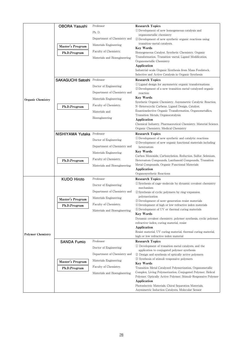|                          | <b>OBORA Yasushi</b>               | Professor                    | <b>Research Topics</b>                                                                                                   |
|--------------------------|------------------------------------|------------------------------|--------------------------------------------------------------------------------------------------------------------------|
|                          |                                    | Ph. D.                       | 1) Development of new homogeneous catalysis and                                                                          |
|                          |                                    | Department of Chemistry and  | organometallic chemistry<br>2 Development of new synthetic organic reactions using                                       |
|                          |                                    |                              | transition-metal catalysts.                                                                                              |
|                          | Master's Program                   | Materials Engineering        | <b>Key Words</b>                                                                                                         |
|                          | Ph.D.Program                       | Faculty of Chemistry,        | Homogeneous Catalyst, Synthetic Chemistry, Organic                                                                       |
|                          |                                    | Materials and Bioengineering | Transformation, Transition-metal, Ligand Modification,                                                                   |
|                          |                                    |                              | Organometallic Chemistry<br>Application                                                                                  |
|                          |                                    |                              | Industrial-scale Organic Synthesis from Mass Feedstock,                                                                  |
|                          |                                    |                              | Selective and Active Catalysis in Organic Synthesis                                                                      |
|                          | <b>SAKAGUCHI Satoshi Professor</b> |                              | <b>Research Topics</b>                                                                                                   |
|                          |                                    | Doctor of Engineering        | 1) Ligand design for asymmetric organic transformations<br>2) Development of a new transition metal-catalyzed organic    |
|                          |                                    | Department of Chemistry and  | reaction                                                                                                                 |
| <b>Organic Chemistry</b> |                                    | Materials Engineering        | <b>Key Words</b>                                                                                                         |
|                          |                                    | Faculty of Chemistry,        | Synthetic Organic Chemistry, Asymmetric Catalytic Reaction,<br>N-Heterocyclic Carbene, Ligand Design, Catalyst,          |
|                          | Ph.D.Program                       | Materials and                | Enantioselective Organic Transformation, Organometallics,                                                                |
|                          |                                    |                              | Transition Metals, Organocatalysis                                                                                       |
|                          |                                    | Bioengineering               | Application                                                                                                              |
|                          |                                    |                              | Chemical Industry, Pharmaceutical Chemistry, Material Science,<br>Organic Chemistry, Medical Chemistry                   |
|                          | NISHIYAMA Yutaka Professor         |                              | <b>Research Topics</b>                                                                                                   |
|                          |                                    | Doctor of Engineering        | 1) Development of new synthetic and catalytic reactions                                                                  |
|                          |                                    | Department of Chemistry and  | 2 Development of new organic functional materials including                                                              |
|                          |                                    |                              | heteroatom<br><b>Key Words</b>                                                                                           |
|                          |                                    | Materials Engineering        | Carbon Monoxide, Carbonylation, Reduction, Sulfur, Selenium,                                                             |
|                          | Ph.D.Program                       | Faculty of Chemistry,        | Heteroatom Compounds, Lanthanoid Compounds, Transition                                                                   |
|                          |                                    | Materials and Bioengineering | Metal Compounds, Organic Functional Materials<br>Application                                                             |
|                          |                                    |                              | Organosynthetic Reactions                                                                                                |
|                          | <b>KUDO Hiroto</b>                 | Professor                    | <b>Research Topics</b>                                                                                                   |
|                          |                                    | Doctor of Engineering        | (1) Synthesis of cage-molecule by dynamic covalent chemistry                                                             |
|                          |                                    | Department of Chemistry and  | mechanism<br>2) Synthesis of cyclic polymers by ring-expansion                                                           |
|                          |                                    | Materials Engineering        | polymerization                                                                                                           |
|                          | Master's Program                   |                              | 3 Development of next-generation resist materials                                                                        |
|                          | Ph.D.Program                       | Faculty of Chemistry,        | 4 Development of high or low-refractive index materials<br>5 Development of UV or thermal curing materials               |
|                          |                                    | Materials and Bioengineering | <b>Key Words</b>                                                                                                         |
|                          |                                    |                              | Dynamic covalent chemistry, polymer synthesis, cyclic polymer,                                                           |
|                          |                                    |                              | refractive-index, curing material, resist                                                                                |
|                          |                                    |                              | Application<br>Resist material, UV curing material, thermal curing material,                                             |
| <b>Polymer Chemistry</b> |                                    |                              | high or low refractive index material                                                                                    |
|                          | <b>SANDA Fumio</b>                 | Professor                    | <b>Research Topics</b>                                                                                                   |
|                          |                                    | Doctor of Engineering        | 1) Development of transition metal catalysts, and the                                                                    |
|                          |                                    | Department of Chemistry and  | application to conjugated polymer synthesis<br>2 Design and synthesis of optically active polymers                       |
|                          |                                    | Materials Engineering        | 3) Synthesis of stimuli-responsive polymers                                                                              |
|                          | Master's Program                   | Faculty of Chemistry,        | <b>Key Words</b>                                                                                                         |
|                          | Ph.D.Program                       |                              | Transition Metal Catalyzed Polymerization, Organometallic<br>Complex, Living Polymerization, Conjugated Polymer, Helical |
|                          |                                    | Materials and Bioengineering | Polymer, Optically Active Polymer, Stimuli-Responsive Polymer                                                            |
|                          |                                    |                              | Application                                                                                                              |
|                          |                                    |                              | Photoelectric Materials, Chiral Separation Materials,                                                                    |
|                          |                                    |                              | Asymmetric Induction Catalysts, Molecular Sensor                                                                         |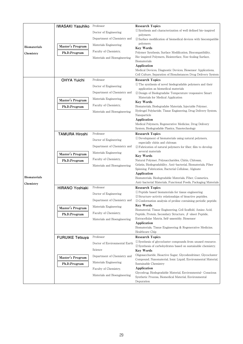|                     | <b>IWASAKI Yasuhiko</b> | Professor                     | <b>Research Topics</b>                                                                                                               |
|---------------------|-------------------------|-------------------------------|--------------------------------------------------------------------------------------------------------------------------------------|
|                     |                         | Doctor of Engineering         | 1) Synthesis and characterization of well defined bio-inspired                                                                       |
|                     |                         | Department of Chemistry and   | polymers<br>2) Surface modification of biomedical devices with biocompatible                                                         |
| <b>Biomaterials</b> | Master's Program        | Materials Engineering         | polymers                                                                                                                             |
| Chemistry           | Ph.D.Program            | Faculty of Chemistry.         | <b>Key Words</b><br>Polymer Synthesis, Surface Modification, Biocompatibility,                                                       |
|                     |                         | Materials and Bioengineering  | Bio-inspired Polymers, Biointerface, Non-fouling Surface,                                                                            |
|                     |                         |                               | Biomaterials                                                                                                                         |
|                     |                         |                               | Application<br>Medical Devices, Diagnostic Devices, Biosensor Applications,                                                          |
|                     |                         |                               | Cell Culture, Separation of Biosubstances Drug Delivery System                                                                       |
|                     | <b>OHYA Yuichi</b>      | Professor                     | <b>Research Topics</b>                                                                                                               |
|                     |                         | Doctor of Engineering         | (1) The synthesis of novel biodegradable polymers and their                                                                          |
|                     |                         | Department of Chemistry and   | application as biomedical materials<br>(2) Design of Biodegradabe Temperature-responsive Smart                                       |
|                     |                         | Materials Engineering         | Materials for Medical Application                                                                                                    |
|                     | Master's Program        | Faculty of Chemistry,         | <b>Key Words</b>                                                                                                                     |
|                     | Ph.D.Program            | Materials and Bioengineering  | Biomaterials, Biodegradabe Materials, Injectable Polymer,<br>Hydrogel Polylactide, Tissue Engineering, Drug Delivery System,         |
|                     |                         |                               | Nanoparticle                                                                                                                         |
|                     |                         |                               | Application                                                                                                                          |
|                     |                         |                               | Medical Polymers, Regenerative Medicine, Drug Delivery<br>System, Biodegradable Plastics, Nanotechnology                             |
|                     | <b>TAMURA Hiroshi</b>   | Professor                     | <b>Research Topics</b>                                                                                                               |
|                     |                         | Doctor of Engineering         | 1) Development of biomaterials using natural polymers,                                                                               |
|                     |                         | Department of Chemistry and   | especially chitin and chitosan<br>2 Fabrication of natural polymers for fiber, film to develop                                       |
|                     |                         | Materials Engineering         | several materials                                                                                                                    |
|                     | Master's Program        | Faculty of Chemistry,         | <b>Key Words</b>                                                                                                                     |
|                     | Ph.D.Program            |                               | Natural Polymer, Polysaccharides, Chitin, Chitosan,<br>Gelatin, Biodegradability, Anti-bacterial, Biomaterials, Fiber                |
|                     |                         | Materials and Bioengineering  | Spinning, Fabrication, Bacterial Cellulose, Alginate                                                                                 |
|                     |                         |                               | Application                                                                                                                          |
| <b>Biomaterials</b> |                         |                               | Biomaterials, Biodegradable Materials, Fiber, Cosmetics,<br>Anti-bacterial Materials, Functional Foods, Packaging Materials          |
| Chemistry           | <b>HIRANO Yoshiaki</b>  | Professor                     | <b>Research Topics</b>                                                                                                               |
|                     |                         | Doctor of Engineering         | 1) Peptide based biomaterials for tissue engineering                                                                                 |
|                     |                         | Department of Chemistry and   | 2) Structure-activity relationships of bioactive peptides.<br><b>3</b> Conformation analysis of proline containing periodic peptide. |
|                     |                         | Materials Engineering         | Key Words                                                                                                                            |
|                     | Master's Program        | Faculty of Chemistry.         | Biomaterial, Tissue Engineering, Cell Scaffold, Amino Acid,                                                                          |
|                     | Ph.D.Program            |                               | Peptide, Protein, Secondary Structure, $\beta$ -sheet Peptide,<br>Extracellular Matrix, Self-assembly, Biosensor                     |
|                     |                         | Materials and Bioengineering  | Application                                                                                                                          |
|                     |                         |                               | Biomaterials, Tissue Engineering & Regenerative Medicine,                                                                            |
|                     |                         |                               | Healthcare Chip                                                                                                                      |
|                     | <b>FURUIKE Tetsuya</b>  | Professor                     | <b>Research Topics</b><br>(1) Synthesis of glycocluster compounds from unused resource.                                              |
|                     |                         | Doctor of Environmental Earth | 2 Synthesis of carbohydrates based on sustainable chemistry.                                                                         |
|                     |                         | Science                       | <b>Key Words</b>                                                                                                                     |
|                     | Master's Program        | Department of Chemistry and   | Oligosaccharide, Bioactive Sugar, Glycodendrimer, Glycocluster<br>Compound, Nanomaterial, Ionic Liquid, Environmental Material,      |
|                     | Ph.D.Program            | Materials Engineering         | Sustainable Chemistry                                                                                                                |
|                     |                         | Faculty of Chemistry,         | Application                                                                                                                          |
|                     |                         | Materials and Bioengineering  | Glycodrug, Biodegradable Material, Environmental- Conscious<br>Synthetic Process, Biomedical Material, Environmental                 |
|                     |                         |                               | Depuration                                                                                                                           |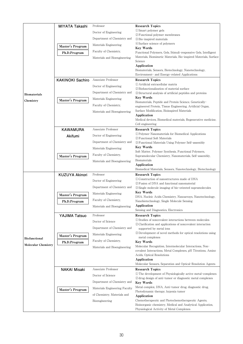|                            | MIYATA Takashi          | Professor                     | <b>Research Topics</b>                                                                                                   |
|----------------------------|-------------------------|-------------------------------|--------------------------------------------------------------------------------------------------------------------------|
|                            |                         | Doctor of Engineering         | (1) Smart polymer gels                                                                                                   |
|                            |                         |                               | 2 Functional polymer membranes                                                                                           |
|                            |                         | Department of Chemistry and   | 3 Bio-inspired materials<br>4) Surface science of polymers                                                               |
|                            | Master's Program        | Materials Engineering         | <b>Key Words</b>                                                                                                         |
|                            | Ph.D.Program            | Faculty of Chemistry,         | Functional Polymers, Gels, Stimuli-responsive Gels, Intelligent                                                          |
|                            |                         | Materials and Bioengineering  | Materials, Biomimetic Materials, Bio-inspired Materials, Surface                                                         |
|                            |                         |                               | Science<br>Application                                                                                                   |
|                            |                         |                               | Biomaterials, Sensors, Biotechnology, Nanotechnology,                                                                    |
|                            |                         |                               | Environment- and Energy-related Applications                                                                             |
|                            | <b>KAKINOKI Sachiro</b> | Associate Professor           | <b>Research Topics</b>                                                                                                   |
|                            |                         | Doctor of Engineering         | 1. Artificial extracellular matrix<br>2 Biofunctionalization of material surface                                         |
| <b>Biomaterials</b>        |                         | Department of Chemistry and   | 3) Structural analysis of artificial peptides and proteins                                                               |
| Chemistry                  | Master's Program        | Materials Engineering         | <b>Key Words</b>                                                                                                         |
|                            |                         | Faculty of Chemistry,         | Biomaterials, Peptide and Protein Science, Genetically-<br>engineered Protein, Tissue Engineering, Artificial Organ,     |
|                            |                         | Materials and Bioengineering  | Surface Modification, Bioinspired Materials                                                                              |
|                            |                         |                               | Application                                                                                                              |
|                            |                         |                               | Medical devices, Biomedical materials, Regenerative medicine,<br>Cell engineering                                        |
|                            | <b>KAWAMURA</b>         | Associate Professor           | <b>Research Topics</b>                                                                                                   |
|                            | Akifumi                 | Doctor of Engineering         | <sup>1</sup> DPolymer Nanomaterials for Biomedical Applications                                                          |
|                            |                         | Department of Chemistry and   | 2 Functional Soft Materials                                                                                              |
|                            |                         |                               | 3) Functional Materials Using Polymer Self-assembly<br><b>Key Words</b>                                                  |
|                            |                         | Materials Engineering         | Soft Matter, Polymer Synthesis, Functional Polymers,                                                                     |
|                            | Master's Program        | Faculty of Chemistry,         | Supramolecular Chemistry, Nanomaterials, Self-assembly,                                                                  |
|                            |                         | Materials and Bioengineering  | Biomaterials<br>Application                                                                                              |
|                            |                         |                               | Biomedical Materials, Sensors, Nanotechnology, Biotechnology                                                             |
|                            | <b>KUZUYA Akinori</b>   | Professor                     | <b>Research Topics</b>                                                                                                   |
|                            |                         | Doctor of Engineering         | 1) Construction of nanostructures made of DNA<br>2 Fusion of DNA and functional nanomaterial                             |
|                            |                         | Department of Chemistry and   | 3) Single molecule imaging of bio-oriented supramolecules                                                                |
|                            | Master's Program        | Materials Engineering         | <b>Key Words</b>                                                                                                         |
|                            |                         | Faculty of Chemistry,         | DNA, Nucleic Acids Chemistry, Nanoarrays, Nanotechnology,<br>Nanobiotechnology, Single Molecule Sensing                  |
|                            | Ph.D.Program            | Materials and Bioengineering  | Application                                                                                                              |
|                            |                         |                               | Sensing and Diagnostics, Electronics                                                                                     |
|                            | YAJIMA Tatsuo           | Professor                     | <b>Research Topics</b>                                                                                                   |
|                            |                         | Doctor of Science             | 1) Studies of noncovalent interactions between molecules<br>2) Clarification and applications of noncovalent interaction |
|                            |                         | Department of Chemistry and   | supported by metal ions                                                                                                  |
|                            | Master's Program        | Materials Engineering         | 3) Development of novel methods for optical resolutions using                                                            |
| <b>Biofunctional</b>       | Ph.D.Program            | Faculty of Chemistry.         | metal complexes<br><b>Key Words</b>                                                                                      |
| <b>Molecular Chemistry</b> |                         | Materials and Bioengineering  | Molecular Recognition, Intermolecular Interactions, Non-                                                                 |
|                            |                         |                               | covalent Interactions, Metal Complexes, pH Titrations, Amino                                                             |
|                            |                         |                               | Acids, Optical Resolutions<br>Application                                                                                |
|                            |                         |                               | Molecular Sensors, Separation and Optical-Resolution Agents                                                              |
|                            | <b>NAKAI Misaki</b>     | Associate Professor           | <b>Research Topics</b>                                                                                                   |
|                            |                         | Doctor of Science             | (1) The development of Physiologically active metal-complexes                                                            |
|                            |                         | Department of Chemistry and   | 2) drug design of anti-tumor or diagnostic metal complexes<br><b>Key Words</b>                                           |
|                            |                         | Materials Engineering Faculty | Metal complex, DNA, Anti-tumor drug, diagnostic drug,                                                                    |
|                            | Master's Program        | of Chemistry, Materials and   | Photodynamic therapy, hypoxia tumor                                                                                      |
|                            |                         |                               | Application<br>Chemotherapeutic and Photochemotherapeutic Agents,                                                        |
|                            |                         | Bioengineering                | Bioinorganic chemistry, Medical and Analytical Application,                                                              |
|                            |                         |                               | Physiological Activity of Metal Complexes                                                                                |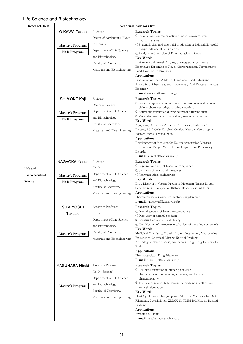## **Life Science and Biotechnology**

| Research field | Academic Advisors list |                              |                                                                                                                                                               |
|----------------|------------------------|------------------------------|---------------------------------------------------------------------------------------------------------------------------------------------------------------|
|                | OIKAWA Tadao           | Professor                    | <b>Research Topics</b>                                                                                                                                        |
|                |                        | Doctor of Agriculture, Kyoto | (1) Isolation and characterization of novel enzymes from<br>microorganisms                                                                                    |
|                | Master's Program       | University                   | 2 Enzymological and microbial production of industrially useful                                                                                               |
|                |                        | Department of Life Science   | compounds and D-amino acids                                                                                                                                   |
|                | Ph.D.Program           | and Biotechnology            | 3 Analysis and function of D-amino acids in foods                                                                                                             |
|                |                        | Faculty of Chemistry,        | <b>Key Words</b><br>D-Amino Acid, Novel Enzyme, Stereospecific Synthesis,                                                                                     |
|                |                        |                              | Biocatalyst, Screening of Novel Microorganisms, Fermentative                                                                                                  |
|                |                        | Materials and Bioengineering | Food, Cold-active Enzymes                                                                                                                                     |
|                |                        |                              | <b>Applications</b><br>Production of Food Additive, Functional Food, Medicine,<br>Agricultural Chemicals, and Biopolymer; Food Process; Biomass;<br>Biosensor |
|                |                        |                              | E-mail: oikawa@kansai-u.ac.jp                                                                                                                                 |
|                | <b>SHIMOKE Koji</b>    | Professor                    | <b>Research Topics</b>                                                                                                                                        |
|                |                        | Doctor of Science            | (1) Basic therapeutic research based on molecular and cellular                                                                                                |
|                |                        | Department of Life Science   | biology about neurodegenerative disorders<br>2) Epigenetic regulation during neuronal differentiation                                                         |
|                | Master's Program       | and Biotechnology            | 3) Molecular mechanism on building neuronal networks                                                                                                          |
|                | Ph.D.Program           |                              | <b>Key Words</b>                                                                                                                                              |
|                |                        | Faculty of Chemistry,        | Apoptosis, ER Stress, Alzheimer's Disease, Parkinson's<br>Disease, PC12 Cells, Cerebral Cortical Neuron, Neurotrophic                                         |
|                |                        | Materials and Bioengineering | Factors, Signal Transduction                                                                                                                                  |
|                |                        |                              | <b>Applications</b>                                                                                                                                           |
|                |                        |                              | Development of Medicine for Neurodegenerative Diseases,                                                                                                       |
|                |                        |                              | Discovery of Target Molecules for Cognitive or Personality<br>Disorder                                                                                        |
|                |                        |                              | E-mail: shimoke@kansai-u.ac.jp                                                                                                                                |
|                | <b>NAGAOKA Yasuo</b>   | Professor                    | <b>Research Topics</b>                                                                                                                                        |
| Life and       |                        | Ph. D.                       | 1) Explorative study of bioactive compounds                                                                                                                   |
| Pharmaceutical |                        | Department of Life Science   | 2 Synthesis of functional molecules<br>3) Pharmaceutical engineering                                                                                          |
| Science        | Master's Program       | and Biotechnology            | <b>Key Words</b>                                                                                                                                              |
|                | Ph.D.Program           | Faculty of Chemistry,        | Drug Discovery, Natural Products, Molecular Target Drugs,                                                                                                     |
|                |                        |                              | Gene Delivery, Polyphenol, Histone Deacetylase Inhibitor<br><b>Applications</b>                                                                               |
|                |                        | Materials and Bioengineering | Pharmaceuticals, Cosmetics, Dietary Supplements                                                                                                               |
|                |                        |                              | E-mail: ynagaoka@kansai-u.ac.jp                                                                                                                               |
|                | <b>SUMIYOSHI</b>       | Associate Professor          | <b>Research Topics</b>                                                                                                                                        |
|                | Takaaki                | Ph. D.                       | 1) Drug discovery of bioactive compounds<br>2 Discovery of natural products                                                                                   |
|                |                        | Department of Life Science   | 3) Construction of chemical library                                                                                                                           |
|                |                        | and Biotechnology            | 4) Identification of molecular mechanism of bioactive compounds                                                                                               |
|                |                        | Faculty of Chemistry,        | <b>Key Words</b><br>Medicinal Chemistry, Protein-Protein Interaction, Macrocycles,                                                                            |
|                | Master's Program       | Materials and Bioengineering | Epigenetics, Chemical Library, Natural Products,                                                                                                              |
|                |                        |                              | Neurodegenerative disease, Anticancer Drug, Drug Delivery to                                                                                                  |
|                |                        |                              | Brain                                                                                                                                                         |
|                |                        |                              | Applications<br>Pharmaceuticals, Drug Discovery                                                                                                               |
|                |                        |                              | $E$ -mail: t-sumiyo@kansai-u.ac.jp                                                                                                                            |
|                | YASUHARA Hiroki        | Associate Professor          | <b>Research Topics</b>                                                                                                                                        |
|                |                        | Ph. D. (Science)             | (1) Cell plate formation in higher plant cells                                                                                                                |
|                |                        | Department of Life Science   | - Mechanisms of the centrifugal development of the<br>phragmoplast-                                                                                           |
|                | Master's Program       | and Biotechnology            | (2) The role of microtubule associated proteins in cell division                                                                                              |
|                |                        | Faculty of Chemistry,        | and cell elongation                                                                                                                                           |
|                |                        | Materials and Bioengineering | <b>Key Words</b><br>Plant Cytokinesis, Phragmoplast, Cell Plate, Microtubules, Actin                                                                          |
|                |                        |                              | Filaments, Cytoskeleton, XMAP215, TMBP200, Kinesin Related                                                                                                    |
|                |                        |                              | Proteins                                                                                                                                                      |
|                |                        |                              | <b>Applications</b><br>Breeding of Plants                                                                                                                     |
|                |                        |                              | E-mail: yasuhara@kansai-u.ac.jp                                                                                                                               |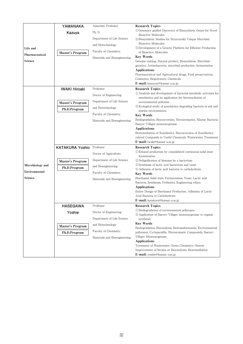|                  | YAMANAKA               | Associate Professor          | <b>Research Topics</b>                                                                                                        |
|------------------|------------------------|------------------------------|-------------------------------------------------------------------------------------------------------------------------------|
|                  | Kazuya                 | Ph. D.                       | <sup>1</sup> Genomics-guided Discovery of Biosynthetic Genes for Novel                                                        |
|                  |                        | Department of Life Science   | <b>Bioactive Molecules</b><br>2 Biosynthetic Studies for Structurally Unique Microbial                                        |
|                  |                        | and Biotechnology            | <b>Bioactive Molecules</b>                                                                                                    |
| Life and         |                        | Faculty of Chemistry,        | 3 Development of a Genetic Platform for Efficient Production<br>of Bioactive Molecules                                        |
| Pharmaceutical   | Master's Program       | Materials and Bioengineering | Key Words                                                                                                                     |
| Science          |                        |                              | Genome-mining, Natural product, Biosynthesis, Microbial                                                                       |
|                  |                        |                              | genetics, Actinobacteria, microbial production, fermentation                                                                  |
|                  |                        |                              | Applications                                                                                                                  |
|                  |                        |                              | Pharmaceutical and Agricultural drugs, Food preservatives,<br>Cosmetics, Biopolymers, Chemicals                               |
|                  |                        |                              | E-mail: kazuyay@kansai-u.ac.jp                                                                                                |
|                  | <b>IWAKI Hiroaki</b>   | Professor                    | <b>Research Topics</b>                                                                                                        |
|                  |                        | Doctor of Engineering        | (1) Analysis and development of bacterial metabolic activities for                                                            |
|                  |                        |                              | xenobiotics and its application for bioremediation of                                                                         |
|                  | Master's Program       | Department of Life Science   | environmental pollution                                                                                                       |
|                  | Ph.D.Program           | and Biotechnology            | 2) Ecological study of xenobiotics degrading bacteria in soil and<br>marine environments                                      |
|                  |                        | Faculty of Chemistry,        | <b>Key Words</b>                                                                                                              |
|                  |                        | Materials and Bioengineering | Biodegradation, Bioconversion, Nitroaromatics, Marine Bacteria,                                                               |
|                  |                        |                              | Baeyer-Villiger monooxygenase                                                                                                 |
|                  |                        |                              | Applications                                                                                                                  |
|                  |                        |                              | Bioremediation of Xenobiotics, Bioconversion of Xenobiotics-                                                                  |
|                  |                        |                              | related Compunds to Useful Chemicals, Wastewater Treatment<br><b>E-mail:</b> iwaki@kansai-u.ac.jp                             |
|                  | <b>KATAKURA Yoshio</b> | Professor                    | <b>Research Topics</b>                                                                                                        |
|                  |                        | Doctor of Agriculture        | (1) Ethanol production by consolidated continuous solid state<br>fermentation                                                 |
|                  | Master's Program       | Department of Life Science   | 2 Delignification of biomass by a bacterium                                                                                   |
| Microbiology and | Ph.D.Program           | and Bioengineering           | 3) Symbiosis of lactic acid bacterium and yeast<br>4) Adhesion of lactic acid bacteria to carbohydrate                        |
| Environmental    |                        | Faculty of Chemistry,        | Key Words                                                                                                                     |
| Science          |                        | Materials and Bioengineering | Bioethanol, Solid state Fermentation, Yeast, Lactic acid                                                                      |
|                  |                        |                              | Bacteria, Symbiosis, Probiotics, Engineering ethics                                                                           |
|                  |                        |                              | Applications                                                                                                                  |
|                  |                        |                              | Entire Design of Bioethanol Production, Adhesion of Lactic<br>Acid Bacteria to Carbohydrate                                   |
|                  |                        |                              | E-mail: katakura@kansai-u.ac.jp                                                                                               |
|                  | <b>HASEGAWA</b>        |                              |                                                                                                                               |
|                  |                        |                              |                                                                                                                               |
|                  |                        | Professor                    | <b>Research Topics</b>                                                                                                        |
|                  | Yoshie                 | Doctor of Engineering        | 1) Biodegradation of environmental pollutants<br>2 Application of Baeyer-Villiger monooxygenase to organic                    |
|                  |                        | Department of Life Science   | synthesis                                                                                                                     |
|                  | Master's Program       | and Biotechnology            | <b>Key Words</b>                                                                                                              |
|                  |                        | Faculty of Chemistry,        | Biodegradation, Biocatalysis, Biotransformation, Environmental<br>pollutants, Cycloparaffin, Nitroaromatic Compounds, Baeyer- |
|                  | Ph.D.Program           | Materials and Bioengineering | Villiger Monooxygenase                                                                                                        |
|                  |                        |                              | <b>Applications</b>                                                                                                           |
|                  |                        |                              | Treatment of Wastewater, Green Chemistry, Genetic                                                                             |
|                  |                        |                              | Improvement of Strains or Biocatalysts, Bioremediation<br>E-mail: yoshie@kansai-u.ac.jp                                       |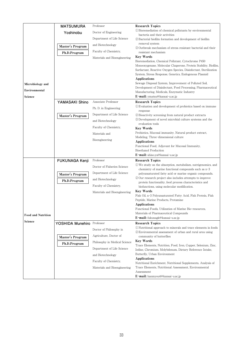|                           | <b>MATSUMURA</b>      | Professor                     | <b>Research Topics</b>                                                                                                      |
|---------------------------|-----------------------|-------------------------------|-----------------------------------------------------------------------------------------------------------------------------|
|                           | Yoshinobu             | Doctor of Engineering         | 1) Bioremediation of chemical pollutants by environmental                                                                   |
|                           |                       | Department of Life Science    | bacteria and their activities<br>2) Bacterial biofilm formation and development of biofilm                                  |
|                           |                       | and Biotechnology             | removal system                                                                                                              |
|                           | Master's Program      | Faculty of Chemistry,         | (3) Outbreak mechanism of stress resistant bacterial and their                                                              |
|                           | Ph.D.Program          | Materials and Bioengineering  | resistant mechanism<br><b>Key Words</b>                                                                                     |
|                           |                       |                               | Bioremediation, Chemical Pollutant, Cytochrome P450                                                                         |
|                           |                       |                               | Monooxygenase, Molecular Chaperone, Protein Stability, Biofilm,                                                             |
|                           |                       |                               | Surfactant, Reactive Oxygen Species, Disinfectant, Sterilization<br>System, Stress Response, Genetics, Endogenous Plasmid   |
|                           |                       |                               | Applications                                                                                                                |
| Microbiology and          |                       |                               | Sewage Disposal System, Improvement of Polluted Soil,                                                                       |
| Environmental             |                       |                               | Development of Disinfectant, Food Processing, Pharmaceutical<br>Manufacturing, Medicals, Enzymatic Industry                 |
| Science                   |                       |                               | E-mail: ymatsu@kansai-u.ac.jp                                                                                               |
|                           | YAMASAKI Shino        | Associate Professor           | <b>Research Topics</b>                                                                                                      |
|                           |                       | Ph. D. in Engineering         | (1) Evaluation and development of probiotics based on immune<br>response                                                    |
|                           | Master's Program      | Department of Life Science    | 2) Bioactivity screening from natural product extracts                                                                      |
|                           |                       | and Biotechnology             | 3 Development of novel microbial culture systems and the                                                                    |
|                           |                       | Faculty of Chemistry,         | evaluation tools<br><b>Key Words</b>                                                                                        |
|                           |                       | Materials and                 | Probiotics, Mucosal immunity, Natural product extract,                                                                      |
|                           |                       | Bioengineering                | Modeling, Three-dimensional culture                                                                                         |
|                           |                       |                               | Applications<br>Functional Food, Adjuvant for Mucosal Immunity,                                                             |
|                           |                       |                               | <b>Bioethanol Production</b>                                                                                                |
|                           |                       |                               | E-mail: shino.ya@kansai-u.ac.jp                                                                                             |
|                           | <b>FUKUNAGA Kenji</b> | Professor                     | <b>Research Topics</b><br>① We study on the absorption, metabolism, nutrigenomics, and                                      |
|                           |                       | Doctor of Fisheries Science   | chemistry of marine functional compounds such as n-3                                                                        |
|                           | Master's Program      | Department of Life Science    | polyunsaturated fatty acid or marine organic compounds.                                                                     |
|                           | Ph.D.Program          | and Biotechnology             | 20 Our research project also includes attempts to improve<br>protein functionality, food process characteristics and        |
|                           |                       | Faculty of Chemistry,         | biofunctions, using molecular modification.                                                                                 |
|                           |                       | Materials and Bioengineering  | <b>Key Words</b>                                                                                                            |
|                           |                       |                               | Fish Oil, n-3 Polyunsaturated Fatty Acid, Fish Protein, Fish<br>Peptide, Marine Products, Protamine                         |
|                           |                       |                               | Applications                                                                                                                |
|                           |                       |                               | Functional Foods, Utilization of Marine Bio-resources,<br>Materials of Pharmaceutical Compounds                             |
| <b>Food and Nutrition</b> |                       |                               | E-mail: fukunagk@kansai-u.ac.jp                                                                                             |
| Science                   | YOSHIDA Munehiro      | Professor                     | <b>Research Topics</b>                                                                                                      |
|                           |                       | Doctor of Philosophy in       | 10 Nutritional approach to minerals and trace elements in foods<br>2 Environmental assessment of urban and rural area using |
|                           | Master's Program      | Agriculture, Doctor of        | community of butterflies                                                                                                    |
|                           | Ph.D.Program          | Philosophy in Medical Science | <b>Key Words</b><br>Trace Elements, Nutrition, Food, Iron, Copper, Selenium, Zinc,                                          |
|                           |                       | Department of Life Science    | Iodine, Chromium, Molybdenum, Dietary Reference Intake,                                                                     |
|                           |                       | and Biotechnology             | Butterfly, Urban Environment                                                                                                |
|                           |                       | Faculty of Chemistry,         | Applications<br>Nutritional Enrichment, Nutritional Supplements, Analysis of                                                |
|                           |                       | Materials and Bioengineering  | Trace Elements, Nutritional Assessment, Environmental                                                                       |
|                           |                       |                               | Assessment                                                                                                                  |
|                           |                       |                               | E-mail: hanmyou4@kansai-u.ac.jp                                                                                             |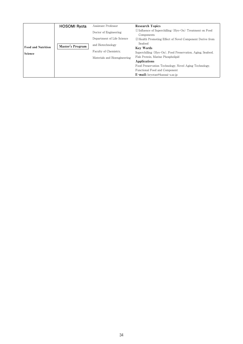| Food and Nutrition<br>Science | <b>HOSOMI Ryota</b><br>Master's Program | Assistant Professor<br>Doctor of Engineering<br>Department of Life Science<br>and Biotechnology<br>Faculty of Chemistry.<br>Materials and Bioengineering | <b>Research Topics</b><br>(1) Influence of Superchilling (Hyo-On) Treatment on Food<br>Components<br>2) Health Promoting Effect of Novel Component Derive from<br>Seafood<br><b>Key Words</b><br>Superchilling (Hyo-On), Food Preservation, Aging, Seafood,<br>Fish Protein, Marine Phospholipid<br>Applications<br>Food Preservation Technology, Novel Aging Technology,<br>Functional Food and Component |
|-------------------------------|-----------------------------------------|----------------------------------------------------------------------------------------------------------------------------------------------------------|------------------------------------------------------------------------------------------------------------------------------------------------------------------------------------------------------------------------------------------------------------------------------------------------------------------------------------------------------------------------------------------------------------|
|                               |                                         |                                                                                                                                                          | E-mail: hryotan@kansai-u.ac.jp                                                                                                                                                                                                                                                                                                                                                                             |